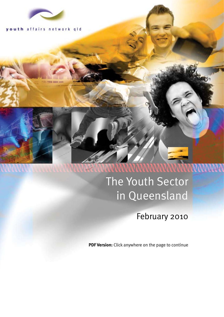

qld affairs networ k

# The Youth Sector in Queensland

# February 2010

**PDF Version:** Click anywhere on the page to continue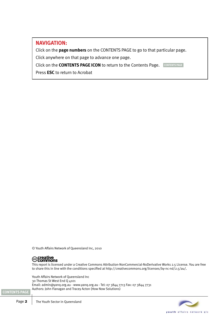# **NAVIGATION:**

Click on the **page numbers** on the CONTENTS PAGE to go to that particular page.

Click anywhere on that page to advance one page.

Click on the **CONTENTS PAGE ICON** to return to the Contents Page. **CONTENTS PAGE**

Press **ESC** to return to Acrobat

© Youth Affairs Network of Queensland Inc, 2010



**[CONTENTS PAGE](#page-2-0)**

This report is licensed under a Creative Commons Attribution-NonCommercial-NoDerivative Works 2.5 License. You are free to share this in line with the conditions specified at http://creativecommons.org/licenses/by-nc-nd/2.5/au/.

Youth Affairs Network of Queensland Inc 30 Thomas St West End Q 4101 Email: admin@yanq.org.au - www.yanq.org.au - Tel: 07 3844 7713 Fax: 07 3844 7731 Authors: John Flanagan and Tracey Acton (How Now Solutions)

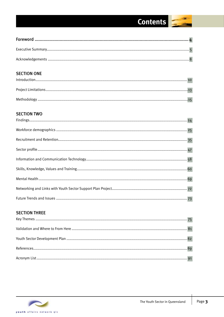# Contents

<span id="page-2-0"></span>

# **SECTION ONE**

# **SECTION TWO**

# **SECTION THREE**

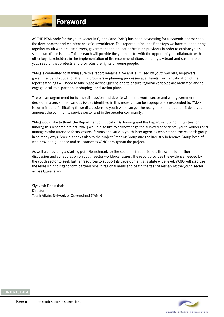

<span id="page-3-0"></span>As the peak body for the youth sector in Queensland, YANQ has been advocating for a systemic approach to the development and maintenance of our workforce. This report outlines the first steps we have taken to bring together youth workers, employers, government and education/training providers in order to explore youth sector workforce issues. This research will provide the youth sector with the opportunity to collaborate with other key stakeholders in the implementation of the recommendations ensuring a vibrant and sustainable youth sector that protects and promotes the rights of young people.

YANQ is committed to making sure this report remains alive and is utilised by youth workers, employers, government and education/training providers in planning processes at all levels. Further validation of the report's findings will need to take place across Queensland to ensure regional variables are identified and to engage local level partners in shaping local action plans.

There is an urgent need for further discussion and debate within the youth sector and with government decision makers so that various issues identified in this research can be appropriately responded to. YANQ is committed to facilitating these discussions so youth work can get the recognition and support it deserves amongst the community service sector and in the broader community.

YANQ would like to thank the Department of Education & Training and the Department of Communities for funding this research project. YANQ would also like to acknowledge the survey respondents, youth workers and managers who attended focus groups, forums and various youth inter-agencies who helped the research group in so many ways. Special thanks also to the project Steering Group and the Industry Reference Group both of who provided guidance and assistance to YANQ throughout the project.

As well as providing a starting point/benchmark for the sector, this reports sets the scene for further discussion and collaboration on youth sector workforce issues. The report provides the evidence needed by the youth sector to seek further resources to support its development at a state wide level. YANQ will also use the research findings to form partnerships in regional areas and begin the task of reshaping the youth sector across Queensland.

Siyavash Doostkhah Director Youth Affairs Network of Queensland (YANQ)



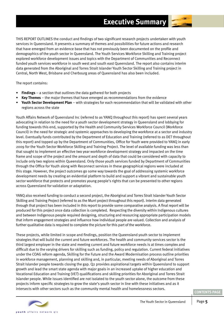<span id="page-4-0"></span>THIS REPORT OUTLINES the conduct and findings of two significant research projects undertaken with youth services in Queensland. It presents a summary of themes and possibilities for future actions and research that have emerged from an evidence base that has not previously been documented on the profile and demographics of the youth sector in Queensland. The Youth Services Workforce Skilling and Training project explored workforce development issues and topics with the Department of Communities and Reconnect funded youth services workforce in south west and south east Queensland. The report also contains interim data generated from the Aboriginal and Torres Strait Islander Youth Sector Skilling and Training project in Central, North West, Brisbane and Cherbourg areas of Queensland has also been included.

The report contains:

- **Findings** a section that outlines the data gathered for both projects
- **Key Themes** the major themes that have emerged as recommendations from the evidence
- **Youth Sector Development Plan**  with strategies for each recommendation that will be validated with other regions across the state

Youth Affairs Network of Queensland Inc (referred to as YANQ throughout this report) has spent several years advocating in relation to the need for a youth sector development strategy in Queensland and lobbying for funding towards this end, supported by the Health and Community Services Workforce Council (Workforce Council) in the need for strategic and systemic approaches to developing the workforce at a sector and industry level. Eventually funds contributed by the Department of Education and Training (referred to as DET throughout this report) and topped up by the Department of Communities, Office for Youth were provided to YANQ in early 2009 for the Youth Sector Workforce Skilling and Training Project. The level of available funding was less than that sought to implement an effective two year workforce development strategy and impacted on the time frame and scope of the project and the amount and depth of data that could be considered with capacity to include only two regions within Queensland. Only those youth services funded by Department of Communities through the Office for Youth along with Reconnect services in these geographical regions were included at this stage. However, the project outcomes go some way towards the goal of addressing systemic workforce development needs by creating an evidential platform to build and support a vibrant and sustainable youth sector workforce that protects and promotes young people's rights that can be presented to other regions across Queensland for validation or adaptation.

YANQ also received funding to conduct a second project, the Aboriginal and Torres Strait Islander Youth Sector Skilling and Training Project (referred to as the Murri project throughout this report). Interim data generated through that project has been included in this report to provide some comparative analysis. A final report will be produced for this project once data collection is completed. Respecting the diversity within Indigenous cultures and between Indigenous people required designing, structuring and resourcing appropriate participation models that inform engagement strategies and influence how individual people are valued. Collection and analysis of further qualitative data is required to complete the picture for this part of the workforce.

These projects, while limited in scope and findings, position the Queensland youth sector to implement strategies that will build the current and future workforces. The health and community services sector is the third largest employer in the state and meeting current and future workforce needs is at times complex and difficult due to the varying drivers for skilling such as funding, policy and regulation. Current federal initiatives under the COAG reform agenda, Skilling for the Future and the Award Modernisation process outline priorities in workforce management, planning and skilling and, in particular, meeting needs of Aboriginal and Torres Strait Islander people towards closing the gap. Q2 provides aspirational targets within Queensland to support growth and lead the smart state agenda with major goals in an increased uptake of higher education and Vocational Education and Training (VET) qualifications and skilling priorities for Aboriginal and Torres Strait Islander people. While issues identified are not isolated to the youth sector alone, the outcome from these projects inform specific strategies to grow the state's youth sector in line with these initiatives and as it intersects with other sectors such as the community mental health and homelessness sectors.



vouth affairs network old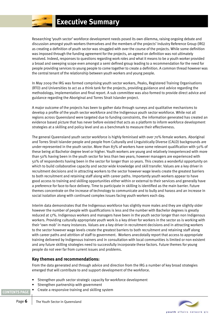

Researching 'youth sector' workforce development needs posed its own dilemma, raising ongoing debate and discussion amongst youth workers themselves and the members of the projects' Industry Reference Group (IRG) as creating a definition of youth sector was struggled with over the course of the projects. While some definition was imposed through the funding agreement for the projects, an agreed on definition was not ultimately resolved. Indeed, responses to questions regarding work roles and what it means to be a youth worker provided a broad and sweeping scope even amongst a semi defined group leading to a recommendation for the need for people providing services to young people to come together to create a definition. A common thread however was the central tenant of the relationship between youth workers and young people.

In May 2009 the IRG was formed comprising youth sector workers, Peaks, Registered Training Organisations (RTO) and Universities to act as a think tank for the projects, providing guidance and advice regarding the methodology, implementation and final report. A sub committee was also formed to provide direct advice and guidance regarding the Aboriginal and Torres Strait Islander project.

A major outcome of the projects has been to gather data through surveys and qualitative mechanisms to develop a profile of the youth sector workforce and the Indigenous youth sector workforce. While not all regions across Queensland were targeted due to funding constraints, the information generated has created an evidence based picture that has never before existed that acts as a platform to inform workforce development strategies at a skilling and policy level and as a benchmark to measure their effectiveness.

The general Queensland youth sector workforce is highly feminised with over 70% female workers. Aboriginal and Torres Strait Islander people and people from Culturally and Linguistically Diverse (CALD) backgrounds are under-represented in the youth sector. More than 83% of workers have some relevant qualification with 50% of these being at Bachelor degree level or higher. Youth workers are young and relatively inexperienced with more than 50% having been in the youth sector for less than two years; however managers are experienced with 50% of respondents having been in the sector for longer than 10 years. This creates a wonderful opportunity on which to build collaborative capacity and sector wide knowledge and skill transfer. Values are a key driver in recruitment decisions and in attracting workers to the sector however wage levels create the greatest barriers to both recruitment and retaining staff along with career paths. Importantly youth workers appear to have good access to training and skilling opportunities either within or external to their services and generally have a preference for face-to-face delivery. Time to participate in skilling is identified as the main barrier. Future themes concentrate on the increase of technology to communicate and to bully and harass and an increase in social isolation along with continued complex issues facing youth workers each day.

Interim data demonstrates that the Indigenous workforce has slightly more males and they are slightly older however the number of people with qualifications is less and the number with Bachelor degrees is greatly reduced at 17%. Indigenous workers and managers have been in the youth sector longer than non Indigenous workers. Providing culturally appropriate youth work is a key driver for workers in the sector as is working with their 'own mob' in many instances. Values are a key driver in recruitment decisions and in attracting workers to the sector however wage levels create the greatest barriers to both recruitment and retaining staff along with career paths and attrition of staff to government. Workers anecdotally report that access to appropriate training delivered by Indigenous trainers and in consultation with local communities is limited or non existent and any future skilling strategies need to successfully incorporate these factors. Future themes for young people do not veer far from current issues and problems.

## **Key themes and recommendations:**

From the data generated and through advice and direction from the IRG a number of key broad strategies emerged that will contribute to and support development of the workforce.

- Strengthen youth sector strategic capacity for workforce development
- Strengthen partnership with government
- Create a responsive training and skilling system

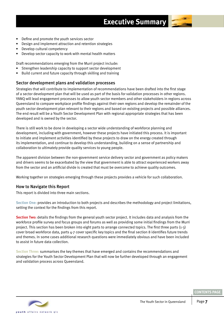

- Define and promote the youth services sector
- Design and implement attraction and retention strategies
- Develop cultural competency
- Develop sector capacity to work with mental health matters

Draft recommendations emerging from the Murri project include:

- Strengthen leadership capacity to support sector development
- Build current and future capacity through skilling and training

# Sector development plans and validation processes

Strategies that will contribute to implementation of recommendations have been drafted into the first stage of a sector development plan that will be used as part of the basis for validation processes in other regions. YANQ will lead engagement processes to allow youth sector members and other stakeholders in regions across Queensland to compare workplace profile findings against their own regions and develop the remainder of the youth sector development plan relevant to their regions and based on existing projects and possible alliances. The end result will be a Youth Sector Development Plan with regional appropriate strategies that has been developed and is owned by the sector.

There is still work to be done in developing a sector wide understanding of workforce planning and development, including with government, however these projects have initiated this process. It is important to initiate and implement activities identified by these projects to draw on the energy created through its implementation, and continue to develop this understanding, building on a sense of partnership and collaboration to ultimately provide quality services to young people.

The apparent division between the non-government service delivery sector and government as policy makers and drivers seems to be exacerbated by the view that government is able to attract experienced workers away from the sector and an artificial divide is created that must be overcome to achieve quality outcomes.

Working together on strategies emerging through these projects provides a vehicle for such collaboration.

#### How to Navigate this Report

This report is divided into three main sections.

**Section One:** provides an introduction to both projects and describes the methodology and project limitations, setting the context for the findings from this report.

**Section Two:** details the findings from the general youth sector project. It includes data and analysis from the workforce profile survey and focus groups and forums as well as providing some initial findings from the Murri project. This section has been broken into eight parts to arrange connected topics. The first three parts (1-3) cover broad workforce data, parts 4-7 cover specific key topics and the final section 8 identifies future trends and themes. In some cases additional research questions were immediately obvious and have been included to assist in future data collection.

**Section Three:** summarises the key themes that have emerged and contains the recommendations and strategies for the Youth Sector Development Plan that will now be further developed through an engagement and validation process across Queensland.

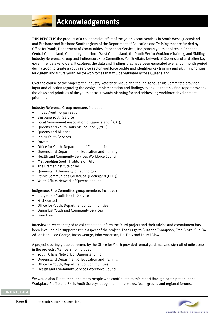# **Acknowledgements**

<span id="page-7-0"></span>THIS REPORT IS the product of a collaborative effort of the youth sector services in South West Queensland and Brisbane and Brisbane South regions of the Department of Education and Training that are funded by Office for Youth, Department of Communities, Reconnect Services, Indigenous youth services in Brisbane, Central Queensland, Cherbourg and North West Queensland, the Youth Sector Workforce Training and Skilling Industry Reference Group and Indigenous Sub-Committee, Youth Affairs Network of Queensland and other key government stakeholders. It captures the data and findings that have been generated over a four month period during 2009 to create a youth service sector workforce profile and identifies key training and skilling priorities for current and future youth sector workforces that will be validated across Queensland.

Over the course of the projects the Industry Reference Group and the Indigenous Sub-Committee provided input and direction regarding the design, implementation and findings to ensure that this final report provides the views and priorities of the youth sector towards planning for and addressing workforce development priorities.

Industry Reference Group members included:

- Impact Youth Organisation
- Brisbane Youth Service
- Local Government Association of Queensland (LGAQ)
- Queensland Youth Housing Coalition (QYHC)
- Queensland Alliance
- Jabiru Youth Services
- Dovetail
- Office for Youth, Department of Communities
- Queensland Department of Education and Training
- Health and Community Services Workforce Council
- Metropolitan South Institute of TAFE
- The Bremer Institute of TAFE
- Queensland University of Technology
- Ethnic Communities Council of Queensland (ECCQ)
- Youth Affairs Network of Queensland Inc

Indigenous Sub-Committee group members included:

- Indigenous Youth Health Service
- **First Contact**
- Office for Youth, Department of Communities
- Darumbal Youth and Community Services
- Born Free

Interviewers were engaged to collect data to inform the Murri project and their advice and commitment has been invaluable in supporting this aspect of the project. Thanks go to Suzanne Thompson, Fred Binge, Sue Fox, Adrian Hepi, Lee George, Jacob George, John Anderson, Del Daly and Laurel Blow.

A project steering group convened by the Office for Youth provided formal guidance and sign-off of milestones in the projects. Membership included:

- Youth Affairs Network of Queensland Inc
- Queensland Department of Education and Training
- Office for Youth, Department of Communities
- Health and Community Services Workforce Council

We would also like to thank the many people who contributed to this report through participation in the Workplace Profile and Skills Audit Surveys 2009 and in interviews, focus groups and regional forums.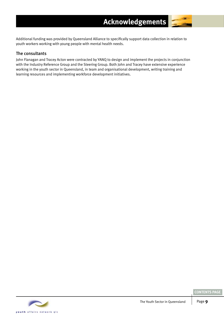Additional funding was provided by Queensland Alliance to specifically support data collection in relation to youth workers working with young people with mental health needs.

# The consultants

John Flanagan and Tracey Acton were contracted by YANQ to design and implement the projects in conjunction with the Industry Reference Group and the Steering Group. Both John and Tracey have extensive experience working in the youth sector in Queensland, in team and organisational development, writing training and learning resources and implementing workforce development initiatives.

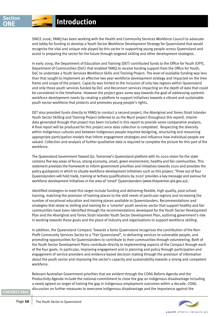<span id="page-9-0"></span>Since 2006, YANQ has been working with the Health and Community Services Workforce Council to advocate and lobby for funding to develop a Youth Sector Workforce Development Strategy for Queensland that would recognise the vital and unique role played by this sector in supporting young people across Queensland and assist in preparing the sector for the future through targeted skilling and other development strategies.

In early 2009, the Department of Education and Training (DET) contributed funds to the Office for Youth (OFY), Department of Communities (DoC) that enabled YANQ to receive funding support from the Office for Youth, DoC to undertake a Youth Services Workforce Skills and Training Project. The level of available funding was less than that sought to implement an effective two year workforce development strategy and impacted on the time frame and scope of the project. Capacity was limited to the inclusion of only two regions within Queensland and only those youth services funded by DoC and Reconnect services impacting on the depth of data that could be considered in the timeframe. However the project goes some way towards the goal of addressing systemic workforce development needs by creating a platform to support initiatives towards a vibrant and sustainable youth sector workforce that protects and promotes young people's rights.

DET also provided funds directly to YANQ to conduct a second project, the Aboriginal and Torres Strait Islander Youth Sector Skilling and Training Project (referred to as the Murri project throughout this report). Interim data generated through that project has been included in this report to provide some comparative analysis. A final report will be produced for this project once data collection is completed. Respecting the diversity within Indigenous cultures and between Indigenous people required designing, structuring and resourcing appropriate participation models that inform engagement strategies and influence how individual people are valued. Collection and analysis of further qualitative data is required to complete the picture for this part of the workforce.

The Queensland Government Toward Q2: Tomorrow's Queensland platform with its 2020 vision for the state contains five key areas of focus; strong economy, smart, green environment, healthy and fair communities. This statement provides the framework to inform government priorities and initiatives towards 2020 and provides the policy guideposts in which to situate workforce development initiatives such as this project. 'Three out of four Queenslanders will hold trade, training or tertiary qualifications by 2020' provides a key message and avenue for workforce development initiatives in the area of 'smart' Queenslanders (www.thepremier.qld.gov.au).

Identified strategies to meet this target include funding and delivering flexible, high quality, post-school training, matching the provision of training places to the skill needs of particular regions and increasing the number of vocational education and training places available to Queenslanders. Recommendations and strategies that relate to skilling and training for a 'smarter' youth services sector that support healthy and fair communities have been identified through the recommendations developed for the Youth Sector Development Plan and the Aboriginal and Torres Strait Islander Youth Sector Development Plan, outlining government's role in working towards these goals and the place of industry and organisations to support workforce skilling.

In addition, the Queensland Compact: Towards a fairer Queensland recognises the contribution of the Non-Profit Community Services Sector to a "Fair Queensland", in delivering services to vulnerable people, and promoting opportunities for Queenslanders to contribute to their communities through volunteering. Both of the Youth Sector Development Plans contribute directly to implementing aspects of the Compact through each of the four goals. In particular, improving engagement and in planning and policy through participation and engagement of service providers and evidence based decision making through the provision of information about the youth sector and improving the sector's capacity and sustainability towards a strong and competent workforce.

Relevant Australian Government priorities that are evident through the COAG Reform Agenda and the Productivity Agenda include the national commitment to close the gap on Indigenous disadvantage including a newly agreed on target of halving the gap in Indigenous employment outcomes within a decade. COAG discussion on further measures to overcome Indigenous disadvantage and the importance against the

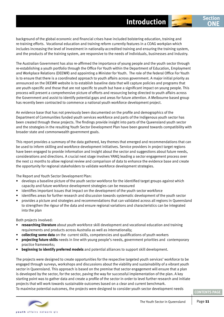background of the global economic and financial crises have included bolstering education, training and re-training efforts. Vocational education and training reform currently features in a COAG workplan which includes increasing the level of investment in nationally-accredited training and ensuring the training system, and the products of the training system, are responsive to the needs of individuals, businesses and industry.

The Australian Government has also re-affirmed the importance of young people and the youth sector through re-establishing a youth portfolio through the Office For Youth within the Department of Education, Employment and Workplace Relations (DEEWR) and appointing a Minister for Youth. The role of the federal Office For Youth is to ensure that there is a coordinated approach to youth affairs across government. A major initial priority as announced on the DEEWR website is to establish baseline data that will capture policies and programs that are youth-specific and those that are not specific to youth but have a significant impact on young people. This process will present a comprehensive picture of efforts and resourcing being directed to youth affairs across the Government and assist to identify potential gaps and areas for future attention. A Melbourne based group has recently been contracted to commence a national youth workforce development project.

An evidence base that has not previously been documented on the profile and demographics of the Department of Communities funded youth services workforce and parts of the Indigenous youth sector has been created through these projects. The findings provide insight into parts of the Queensland youth sector and the strategies in the resulting Youth Sector Development Plan have been geared towards compatibility with broader state and commonwealth government goals.

This report provides a summary of the data gathered, key themes that emerged and recommendations that can be used to inform skilling and workforce development initiatives. Service providers in project target regions have been engaged to provide information and insight about the sector and suggestions about future needs, considerations and directions. A crucial next stage involves YANQ leading a sector engagement process over the next 12 months to allow regional review and comparison of data to enhance the evidence base and create the opportunity for regional stakeholders to validate workforce development strategies.

The Report and Youth Sector Development Plan:

- develops a baseline picture of the youth sector workforce for the identified target groups against which capacity and future workforce development strategies can be measured
- identifies important issues that impact on the development of the youth sector workforce
- identifies areas for further research and discussion towards systematic development of the youth sector
- provides a picture and strategies and recommendations that can validated across all regions in Queensland to strengthen the rigour of the data and ensure regional variations and characteristics can be integrated into the plan

Both projects involved:

- **researching literature** about youth workforce skill development and vocational education and training requirements and products across Australia as well as internationally;
- **collecting some data** on the current skills, competencies and qualifications of youth workers
- **projecting future skills** needs in line with young people's needs, government priorities and contemporary practice frameworks;
- **beginning to identify preferred models** and potential alliances to support skill development.

The projects were designed to create opportunities for the respective targeted youth services' workforce to be engaged through surveys, workshops and discussions about the viability and sustainability of a vibrant youth sector in Queensland. This approach is based on the premise that sector engagement will ensure that a plan is developed by the sector, for the sector, paving the way for successful implementation of the plan. A key starting point was to gather data and create a profile of the sector in order to level further research and initiate projects that will work towards sustainable outcomes based on a clear and current benchmark. To maximise potential outcomes, the projects were designed to consider youth sector development needs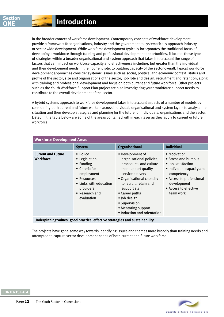# **ONE Introduction**

in the broader context of workforce development. Contemporary concepts of workforce development provide a framework for organisations, industry and the government to systematically approach industry or sector wide development. While workforce development typically incorporates the traditional focus of developing a workforce through training and professional development opportunities, it locates these type of strategies within a broader organisational and system approach that takes into account the range of factors that can impact on workforce capacity and effectiveness including, but greater than the individual and their development needs in their current role, to building capacity of the sector overall. Typical workforce development approaches consider systemic issues such as social, political and economic context, status and profile of the sector, size and organisations of the sector, job role and design, recruitment and retention, along with training and professional development and focus on both current and future workforce. Other projects such as the Youth Workforce Support Plan project are also investigating youth workforce support needs to contribute to the overall development of the sector.

A hybrid systems approach to workforce development takes into account aspects of a number of models by considering both current and future workers across individual, organisational and system layers to analyse the situation and then develop strategies and planning for the future for individuals, organisations and the sector. Listed in the table below are some of the areas contained within each layer as they apply to current or future workforce.

| <b>Workforce Development Areas</b>            |                                                                                                                                                                      |                                                                                                                                                                                                                                                                                                     |                                                                                                                                                                                        |  |
|-----------------------------------------------|----------------------------------------------------------------------------------------------------------------------------------------------------------------------|-----------------------------------------------------------------------------------------------------------------------------------------------------------------------------------------------------------------------------------------------------------------------------------------------------|----------------------------------------------------------------------------------------------------------------------------------------------------------------------------------------|--|
|                                               | <b>System</b>                                                                                                                                                        | <b>Organisational</b>                                                                                                                                                                                                                                                                               | <b>Individual</b>                                                                                                                                                                      |  |
| <b>Current and Future</b><br><b>Workforce</b> | • Policy<br>• Legislation<br>• Funding<br>$\bullet$ Criteria for<br>employment<br>• Resources<br>• Links with education<br>providers<br>• Research and<br>evaluation | • Development of<br>organisational policies,<br>procedures and culture<br>that support quality<br>service delivery<br>• Organisational capacity<br>to recruit, retain and<br>support staff<br>• Career paths<br>· Job design<br>• Supervision<br>• Mentoring support<br>• Induction and orientation | • Motivation<br>• Stress and burnout<br>• Job satisfaction<br>• Individual capacity and<br>competency<br>• Access to professional<br>development<br>• Access to effective<br>team work |  |

**Underpinning values: good practice, effective strategies and sustainability**

The projects have gone some way towards identifying issues and themes more broadly than training needs and attempted to capture sector development needs of both current and future workforce.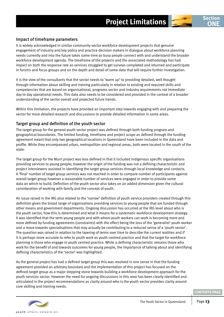

## <span id="page-12-0"></span>Impact of timeframe parameters

It is widely acknowledged in similar community sector workforce development projects that genuine engagement of industry and key policy and practice decision makers in dialogue about workforce planning needs currently and into the future takes some time as busy people connect with and understand the broader workforce development agenda. The timeframe of the projects and the associated methodology has had impact on both the response rate as services struggled to get surveys completed and returned and participate in forums and focus groups and on the depth and detail of some data that will require further investigation.

It is the view of the consultants that the sector needs to 'warm up' to providing detailed, well thought through information about skilling and training particularly in relation to existing and required skills and competencies that are based on organisational, programs sector and industry requirements not immediate day to day operational needs. This data also needs to be considered and provided in the context of a broader understanding of the sector overall and projected future trends.

Within this limitation, the projects have provided an important step towards engaging with and preparing the sector for more detailed research and discussions to provide detailed information in some areas.

#### Target group and definition of the youth sector

The target group for the general youth sector project was defined through both funding program and geographical boundaries. The limited funding, timeframe and project scope as defined through the funding agreement meant that only two geographical locations in Queensland have been included in the data and profile. While they encompassed urban, metropolitan and regional areas, both were located in the south of the state.

The target group for the Murri project was less defined in that it included Indigenous specific organisations providing services to young people; however the origin of the funding was not a defining characteristic and project interviewers assisted in identifying the target group services through local knowledge and contacts. A 'final' number of target group services was not reached in order to compare number of participants against overall target group however a reasonable number of services were engaged in order to provide some data on which to build. Definition of the youth sector also takes on an added dimension given the cultural consideration of working with family and the concept of youth.

An issue raised in the IRG also related to the 'narrow' definition of youth service providers created through this definition given the broad range of organisations providing services to young people that are funded through other means and government departments. Ongoing discussion has occurred at the IRG level about who is the youth sector, how this is determined and what it means for a systematic workforce development strategy. It was identified that the term young people and with whom youth workers can work is becoming more and more defined by funding agreements (constraints) with the effect being the loss of the 'generalist' youth worker and a move towards specialisations that may actually be contributing to a reduced sense of a 'youth sector'. The question was raised in relation to the layering of terms over time to describe the current realities and if it is perhaps more accurate to refer to youth work as youth centred practice and that the target for workforce planning is those who engage in youth centred practice. While a defining characteristic remains those who work for the benefit of and towards outcomes for young people, the importance of talking about and identifying defining characteristics of the 'sector' was highlighted.

As the general project has had a defined target group this was resolved in one sense in that the funding agreement provided an arbitrary boundary and the implementation of this project has focused on the defined target group as a major stepping stone towards building a workforce development approach for the youth services sector. However the need for ongoing discussions in this area has been clearly identified and articulated in the project recommendations as clarity around who is the youth sector provides clarity around core skilling and training needs.

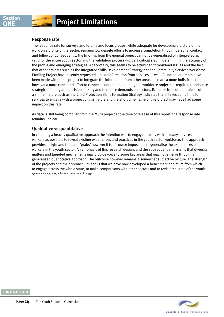## Response rate

The response rate for surveys and forums and focus groups, while adequate for developing a picture of the workforce profile of the sector, remains low despite efforts to increase completion through personal contact and followup. Consequently, the findings from the general project cannot be generalised or interpreted as valid for the entire youth sector and the validation process will be a critical step in determining the accuracy of the profile and emerging strategies. Anecdotally, this seems to be attributed to workload issues and the fact that other projects such as the Integrated Skills Development Strategy and the Community Services Workforce Profiling Project have recently requested similar information from services as well. As noted, attempts have been made within this project to integrate the information from other areas to create a more holistic picture however a more concerted effort to connect, coordinate and integrate workforce projects is required to enhance strategic planning and decision making and to reduce demands on sectors. Evidence from other projects of a similar nature such as the Child Protection Skills Formation Strategy indicates that it takes some time for services to engage with a project of this nature and the short time frame of this project may have had some impact on this rate.

As data is still being compiled from the Murri project at the time of release of this report, the response rate remains unclear.

## Qualitative vs quantitative

In choosing a heavily qualitative approach the intention was to engage directly with as many services and workers as possible to reveal existing experiences and practices in the youth sector workforce. This approach provides insight and thematic 'grabs' however it is of course impossible to generalise the experiences of all workers in the youth sector. An emphasis of this research design, and the subsequent analysis, is that diversity matters and targeted mechanisms may provide voice to some key areas that may not emerge through a generalised quantitative approach. The outcome however remains a somewhat subjective picture. The strength of the projects and the approach utilised is that we have now developed a benchmark or picture from which to engage across the whole state, to make comparisons with other sectors and to revisit the state of the youth sector at points of time into the future.



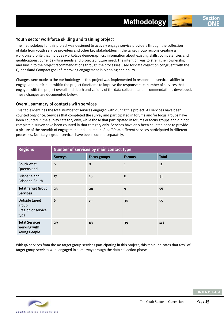

# <span id="page-14-0"></span>Youth sector workforce skilling and training project

The methodology for this project was designed to actively engage service providers through the collection of data from youth service providers and other key stakeholders in the target group regions creating a workforce profile that includes workplace demographics, information about existing skills, competencies and qualifications, current skilling needs and projected future need. The intention was to strengthen ownership and buy in to the project recommendations through the processes used for data collection congruent with the Queensland Compact goal of improving engagement in planning and policy.

Changes were made to the methodology as this project was implemented in response to services ability to engage and participate within the project timeframe to improve the response rate, number of services that engaged with the project overall and depth and validity of the data collected and recommendations developed. These changes are documented below.

## Overall summary of contacts with services

This table identifies the total number of services engaged with during this project. All services have been counted only once. Services that completed the survey and participated in forums and/or focus groups have been counted in the survey category only, while those that participated in forums or focus groups and did not complete a survey have been counted in that category only. Services have only been counted once to provide a picture of the breadth of engagement and a number of staff from different services participated in different processes. Non target group services have been counted separately.

| <b>Regions</b>                                               | Number of services by main contact type |                     |               |              |
|--------------------------------------------------------------|-----------------------------------------|---------------------|---------------|--------------|
|                                                              | <b>Surveys</b>                          | <b>Focus groups</b> | <b>Forums</b> | <b>Total</b> |
| South West<br>Queensland                                     | 6                                       | 8                   | $\mathbf{1}$  | 15           |
| Brisbane and<br><b>Brisbane South</b>                        | 17                                      | 16                  | 8             | 41           |
| <b>Total Target Group</b><br><b>Services</b>                 | 23                                      | 24                  | 9             | 56           |
| Outside target<br>group<br>- region or service<br>type       | 6                                       | 19                  | 30            | 55           |
| <b>Total Services</b><br>working with<br><b>Young People</b> | 29                                      | 43                  | 39            | 111          |

With 56 services from the 90 target group services participating in this project, this table indicates that 62% of target group services were engaged in some way through the data collection phase.



**Section ONE**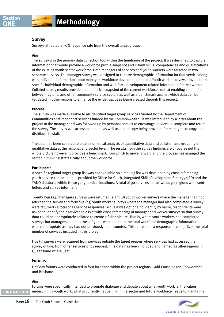#### Survey

Surveys attracted a 30% response rate from the overall target group.

#### **Aim**

The survey was the primary data collection tool within the timeframe of the project. It was designed to capture information that would provide a workforce profile snapshot and inform skills, competencies and qualifications of the existing youth sector workforce. Both managers of services and youth workers were targeted in two separate surveys. The manager survey was designed to capture demographic information for that service along with individual information about managers workforce development needs. Youth worker surveys provide both specific individual demographic information and workforce development related information for that worker. Collated survey results provide a quantitative snapshot of the current workforce context enabling comparison between regions, and other community service sectors as well as a benchmark against which data can be validated in other regions to enhance the evidential base being created through this project.

#### **Process**

The survey was made available to all identified target group services funded by the Department of Communities and Reconnect services funded by the Commonwealth. It was introduced by a letter about the project to the manager and was followed up by personal contact to encourage services to complete and return the survey. The survey was accessible online as well as a hard copy being provided for managers to copy and distribute to staff.

The data has been collated to create numerical analysis of quantitative data and collation and grouping of qualitative data at the regional and sector level. The results from the survey findings are of course not the whole picture however it provides a benchmark from which to move forward and the process has engaged the sector in thinking strategically about the workforce.

#### **Participants**

A specific regional target group list was not available so a mailing list was developed by cross referencing youth service contact details provided by Office for Youth, Integrated Skills Development Strategy (ISD) and the YANQ database within these geographical locations. A total of 90 services in the two target regions were sent letters and survey information.

Twenty four (24) managers surveys were returned, eight (8) youth worker surveys where the manager had not returned the survey and forty five (45) youth worker surveys where the manager had also completed a survey were returned - a total of 31 service responses. While it was optional to identify by name, respondents were asked to identify their services to assist with cross referencing of manager and worker surveys so that survey data could be appropriately collated to create a fuller picture. That is, where youth workers had completed surveys but managers had not, these figures were added to the total workforce demographic information where appropriate as they had not previously been counted. This represents a response rate of 30% of the total number of services included in this project.

Five (5) surveys were returned from services outside the target regions where services had accessed the survey online, from other services or by request. This data has been included and named as other regions in Queensland where useful.

#### Forums

Half day forums were conducted in four locations within the project regions, Gold Coast, Logan, Toowoomba and Brisbane.

#### **Aim**

**[CONTENTS PAGE](#page-2-0)**

Forums were specifically intended to promote dialogue and debate about what youth work is, the values underpinning youth work, what is currently happening in the sector and future workforce needs to maintain a

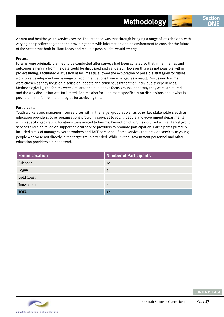vibrant and healthy youth services sector. The intention was that through bringing a range of stakeholders with varying perspectives together and providing them with information and an environment to consider the future of the sector that both brilliant ideas and realistic possibilities would emerge.

#### **Process**

Forums were originally planned to be conducted after surveys had been collated so that initial themes and outcomes emerging from the data could be discussed and validated. However this was not possible within project timing. Facilitated discussion at forums still allowed the exploration of possible strategies for future workforce development and a range of recommendations have emerged as a result. Discussion forums were chosen as they focus on discussion, debate and consensus rather than individuals' experiences. Methodologically, the forums were similar to the qualitative focus groups in the way they were structured and the way discussion was facilitated. Forums also focused more specifically on discussions about what is possible in the future and strategies for achieving this.

#### **Participants**

Youth workers and managers from services within the target group as well as other key stakeholders such as education providers, other organisations providing services to young people and government departments within specific geographic locations were invited to forums. Promotion of forums occurred with all target group services and also relied on support of local service providers to promote participation. Participants primarily included a mix of managers, youth workers and TAFE personnel. Some services that provide services to young people who were not directly in the target group attended. While invited, government personnel and other education providers did not attend.

| <b>Forum Location</b> | <b>Number of Participants</b> |
|-----------------------|-------------------------------|
| <b>Brisbane</b>       | 10                            |
| Logan                 | 5                             |
| <b>Gold Coast</b>     | 5                             |
| Toowoomba             | 4                             |
| <b>TOTAL</b>          | 24                            |

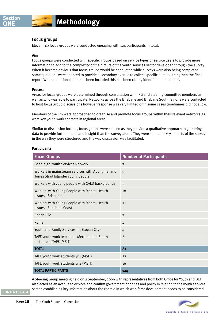## Focus groups

Eleven (11) focus groups were conducted engaging with 124 participants in total.

#### **Aim**

Focus groups were conducted with specific groups based on service types or service users to provide more information to add to the complexity of the picture of the youth services sector developed through the survey. When it became obvious that focus groups would be conducted while surveys were also being completed some questions were adapted to provide a secondary avenue to collect specific data to strengthen the final report. Where additional data has been included this has been clearly identified in the report.

#### **Process**

Areas for focus groups were determined through consultation with IRG and steering committee members as well as who was able to participate. Networks across the Brisbane and Brisbane South regions were contacted to host focus group discussions however response was very limited or in some cases timeframes did not allow.

Members of the IRG were approached to organise and promote focus groups within their relevant networks as were key youth work contacts in regional areas.

Similar to discussion forums, focus groups were chosen as they provide a qualitative approach to gathering data to provide further detail and insight than the survey alone. They were similar to key aspects of the survey in the way they were structured and the way discussion was facilitated.

#### **Participants**

| <b>Focus Groups</b>                                                                       | <b>Number of Participants</b> |
|-------------------------------------------------------------------------------------------|-------------------------------|
| <b>Beenleigh Youth Services Network</b>                                                   | $\overline{7}$                |
| Workers in mainstream services with Aboriginal and<br>Torres Strait Islander young people | 9                             |
| Workers with young people with CALD backgrounds                                           | 5                             |
| Workers with Young People with Mental Health<br>Issues - Brisbane                         | 18                            |
| Workers with Young People with Mental Health<br><b>Issues - Sunshine Coast</b>            | 21                            |
| Charleville                                                                               | $\overline{7}$                |
| Roma                                                                                      | 4                             |
| Youth and Family Services Inc (Logan City)                                                | 4                             |
| TAFE youth work teachers - Metropolitan South<br>Institute of TAFE (MSIT)                 | 6                             |
| <b>TOTAL</b>                                                                              | 81                            |
| TAFE youth work students yr 1 (MSIT)                                                      | 27                            |
| TAFE youth work students yr 2 (MSIT)                                                      | 16                            |
| <b>TOTAL PARTICIPANTS</b>                                                                 | 124                           |

A Steering Group meeting held on 2 September, 2009 with representatives from both Office for Youth and DET also acted as an avenue to explore and confirm government priorities and policy in relation to the youth services sector, establishing key information about the context in which workforce development needs to be considered.

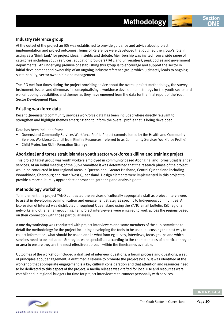

At the outset of the project an IRG was established to provide guidance and advice about project implementation and project outcomes. Terms of Reference were developed that outlined the group's role in acting as a 'think tank' for project ideas, insights and debate. Membership was invited from a wide range of categories including youth services, education providers (TAFE and universities), peak bodies and government departments. An underlying premise of establishing this group is to encourage and support the sector in initial development and ownership of an ongoing industry reference group which ultimately leads to ongoing sustainability, sector ownership and management.

The IRG met four times during the project providing advice about the overall project methodology, the survey instrument, issues and dilemmas in conceptualising a workforce development strategy for the youth sector and workshopping possibilities and themes as they have emerged from the data for the final report of the Youth Sector Development Plan.

# Existing workforce data

Recent Queensland community services workforce data has been included where directly relevant to strengthen and highlight themes emerging and to inform the overall profile that is being developed.

Data has been included from:

- Queensland Community Services Workforce Profile Project commissioned by the Health and Community Services Workforce Council from Rimfire Resources (referred to as Community Services Workforce Profile)
- Child Protection Skills Formation Strategy

#### Aboriginal and torres strait islander youth sector workforce skilling and training project

This project target group was youth workers employed in community based Aboriginal and Torres Strait Islander services. At an initial meeting of the Sub-Committee it was determined that the research phase of the project would be conducted in four regional areas in Queensland- Greater Brisbane, Central Queensland including Woorabinda, Cherbourg and North West Queensland. Design elements were implemented in this project to provide a more culturally appropriate approach to gathering and analysing data.

## Methodology workshop

To implement this project YANQ contracted the services of culturally appropriate staff as project interviewers to assist in developing communication and engagement strategies specific to Indigenous communities. An Expression of Interest was distributed throughout Queensland using the YANQ email bulletin, ISD regional networks and other email groupings. Ten project interviewers were engaged to work across the regions based on their connection with those particular areas.

A one day workshop was conducted with project interviewers and some members of the sub committee to detail the methodology for the project including developing the tools to be used, discussing the best way to collect information, what should be asked and in what form eg survey, interviews, focus groups and which services need to be included. Strategies were specialised according to the characteristics of a particular region or area to ensure they are the most effective approach within the timeframes available.

Outcomes of the workshop included a draft set of interview questions, a forum process and questions, a set of principles about engagement, a draft media release to promote the project locally. It was identified at the workshop that appropriate engagement is a key cultural consideration and that attention and resources need to be dedicated to this aspect of the project. A media release was drafted for local use and resources were established in regional budgets for time for project interviewers to connect personally with services.

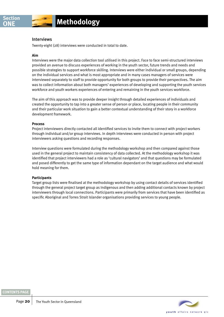#### Interviews

Twenty-eight (28) interviews were conducted in total to date.

#### **Aim**

Interviews were the major data collection tool utilised in this project. Face to face semi-structured interviews provided an avenue to discuss experiences of working in the youth sector, future trends and needs and possible strategies to support workforce skilling. Interviews were either individual or small groups, depending on the individual services and what is most appropriate and in many cases managers of services were interviewed separately to staff to provide opportunity for both groups to provide their perspectives. The aim was to collect information about both managers' experiences of developing and supporting the youth services workforce and youth workers experiences of entering and remaining in the youth services workforce.

The aim of this approach was to provide deeper insight through detailed experiences of individuals and created the opportunity to tap into a greater sense of person or place, locating people in their community and their particular work situation to gain a better contextual understanding of their story in a workforce development framework.

#### **Process**

Project interviewers directly contacted all identified services to invite them to connect with project workers through individual and/or group interviews. In depth interviews were conducted in person with project interviewers asking questions and recording responses.

Interview questions were formulated during the methodology workshop and then compared against those used in the general project to maintain consistency of data collected. At the methodology workshop it was identified that project interviewers had a role as 'cultural navigators' and that questions may be formulated and posed differently to get the same type of information dependant on the target audience and what would hold meaning for them.

#### **Participants**

Target group lists were finalised at the methodology workshop by using contact details of services identified through the general project target group as Indigenous and then adding additional contacts known by project interviewers through local connections. Participants were primarily from services that have been identified as specific Aboriginal and Torres Strait Islander organisations providing services to young people.

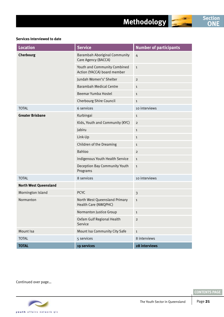



#### **Services Interviewed to date**

| <b>Location</b>              | <b>Service</b>                                              | <b>Number of participants</b> |
|------------------------------|-------------------------------------------------------------|-------------------------------|
| Cherbourg                    | <b>Barambah Aboriginal Community</b><br>Care Agency (BACCA) | $\overline{4}$                |
|                              | Youth and Community Combined<br>Action (YACCA) board member | $\mathbf{1}$                  |
|                              | Jundah Women's' Shelter                                     | $\overline{2}$                |
|                              | <b>Barambah Medical Centre</b>                              | $\mathbf{1}$                  |
|                              | Beemar Yumba Hostel                                         | $\mathbf{1}$                  |
|                              | Cherbourg Shire Council                                     | $\mathbf{1}$                  |
| <b>TOTAL</b>                 | 6 services                                                  | 10 interviews                 |
| <b>Greater Brisbane</b>      | Kurbingai                                                   | $\mathbf{1}$                  |
|                              | Kids, Youth and Community (KYC)                             | $\overline{2}$                |
|                              | Jabiru                                                      | $\mathbf{1}$                  |
|                              | Link-Up                                                     | $\mathbf{1}$                  |
|                              | <b>Children of the Dreaming</b>                             | $\mathbf{1}$                  |
|                              | Bahloo                                                      | $\overline{2}$                |
|                              | Indigenous Youth Health Service                             | $\mathbf{1}$                  |
|                              | Deception Bay Community Youth<br>Programs                   | $\mathbf{1}$                  |
| <b>TOTAL</b>                 | 8 services                                                  | 10 interviews                 |
| <b>North West Queensland</b> |                                                             |                               |
| Mornington Island            | <b>PCYC</b>                                                 | $\overline{\mathbf{3}}$       |
| Normanton                    | North West Queensland Primary<br>Health Care (NWQPHC)       | $\mathbf{1}$                  |
|                              | Normanton Justice Group                                     | 1                             |
|                              | Oxfam Gulf Regional Health<br>Service                       | $\overline{2}$                |
| Mount Isa                    | Mount Isa Community City Safe                               | $\mathbf{1}$                  |
| <b>TOTAL</b>                 | 5 services                                                  | 8 interviews                  |
| <b>TOTAL</b>                 | 19 services                                                 | 28 interviews                 |

Continued over page…

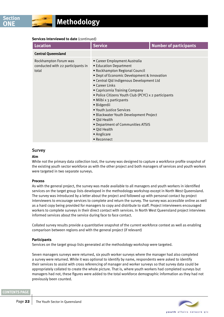#### **Services Interviewed to date** (continued)

| <b>Location</b>                                                     | <b>Service</b>                                                                                                                                                                                                                                                                                                                                                                                                                                                                                                              | <b>Number of participants</b> |
|---------------------------------------------------------------------|-----------------------------------------------------------------------------------------------------------------------------------------------------------------------------------------------------------------------------------------------------------------------------------------------------------------------------------------------------------------------------------------------------------------------------------------------------------------------------------------------------------------------------|-------------------------------|
| <b>Central Queensland</b>                                           |                                                                                                                                                                                                                                                                                                                                                                                                                                                                                                                             |                               |
| Rockhampton Forum was<br>conducted with 22 participants in<br>total | • Career Employment Australia<br>• Education Department<br>• Rockhampton Regional Council<br>• Dept of Economic Development & Innovation<br>• Central Qld Indigenous Development Ltd<br>$\bullet$ Career Links<br>• Capricornia Training Company<br>• Police Citizens Youth Club (PCYC) x 2 participants<br>• Milbi x 3 particpants<br>· Bidgerdii<br>• Youth Justice Services<br>• Blackwater Youth Development Project<br>• Qld Health<br>• Department of Communities ATSIS<br>• Qld Health<br>• Anglicare<br>• Reconnect |                               |

#### Survey

#### **Aim**

While not the primary data collection tool, the survey was designed to capture a workforce profile snapshot of the existing youth sector workforce as with the other project and both managers of services and youth workers were targeted in two separate surveys.

#### **Process**

As with the general project, the survey was made available to all managers and youth workers in identified services on the target group lists developed in the methodology workshop except in North West Queensland. The survey was introduced by a letter about the project and followed up with personal contact by project interviewers to encourage services to complete and return the survey. The survey was accessible online as well as a hard copy being provided for managers to copy and distribute to staff. Project interviewers encouraged workers to complete surveys in their direct contact with services. In North West Queensland project interviews informed services about the service during face to face contact.

Collated survey results provide a quantitative snapshot of the current workforce context as well as enabling comparison between regions and with the general project (if relevant)

#### **Participants**

Services on the target group lists generated at the methodology workshop were targeted.

Seven managers surveys were returned, six youth worker surveys where the manager had also completed a survey were returned. While it was optional to identify by name, respondents were asked to identify their services to assist with cross referencing of manager and worker surveys so that survey data could be appropriately collated to create the whole picture. That is, where youth workers had completed surveys but managers had not, these figures were added to the total workforce demographic information as they had not previously been counted.

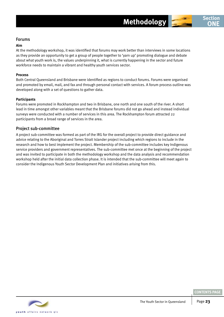#### **Aim**

At the methodology workshop, it was identified that forums may work better than interviews in some locations as they provide an opportunity to get a group of people together to 'yarn up' promoting dialogue and debate about what youth work is, the values underpinning it, what is currently happening in the sector and future workforce needs to maintain a vibrant and healthy youth services sector.

#### **Process**

Both Central Queensland and Brisbane were identified as regions to conduct forums. Forums were organised and promoted by email, mail, and fax and through personal contact with services. A forum process outline was developed along with a set of questions to gather data.

#### **Participants**

Forums were promoted in Rockhampton and two in Brisbane, one north and one south of the river. A short lead in time amongst other variables meant that the Brisbane forums did not go ahead and instead individual surveys were conducted with a number of services in this area. The Rockhampton forum attracted 22 participants from a broad range of services in the area.

# Project sub-committee

A project sub-committee was formed as part of the IRG for the overall project to provide direct guidance and advice relating to the Aboriginal and Torres Strait Islander project including which regions to include in the research and how to best implement the project. Membership of the sub-committee includes key Indigenous service providers and government representatives. The sub-committee met once at the beginning of the project and was invited to participate in both the methodology workshop and the data analysis and recommendation workshop held after the initial data collection phase. It is intended that the sub-committee will meet again to consider the Indigenous Youth Sector Development Plan and initiatives arising from this.



**CONTENTS PAG** 

**ONE**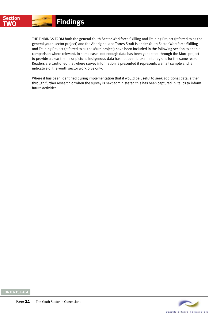<span id="page-23-0"></span>

The findings from both the general Youth Sector Workforce Skilling and Training Project (referred to as the general youth sector project) and the Aboriginal and Torres Strait Islander Youth Sector Workforce Skilling and Training Project (referred to as the Murri project) have been included in the following section to enable comparison where relevant. In some cases not enough data has been generated through the Murri project to provide a clear theme or picture. Indigenous data has not been broken into regions for the same reason. Readers are cautioned that where survey information is presented it represents a small sample and is indicative of the youth sector workforce only.

Where it has been identified during implementation that it would be useful to seek additional data, either through further research or when the survey is next administered this has been captured in italics to inform future activities.



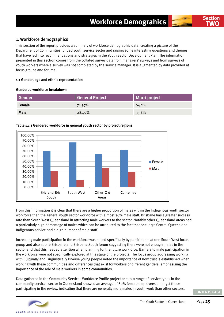# <span id="page-24-0"></span>1. Workforce demographics

This section of the report provides a summary of workforce demographic data, creating a picture of the Department of Communities funded youth service sector and raising some interesting questions and themes that have fed into recommendations and strategies in the Youth Sector Development Plan. The information presented in this section comes from the collated survey data from managers' surveys and from surveys of youth workers where a survey was not completed by the service manager. It is augmented by data provided at focus groups and forums.

#### **1.1 Gender, age and ethnic representation**

#### **Gendered workforce breakdown**

| Gender      | General Project | Murri project |
|-------------|-----------------|---------------|
| Female      | 71.59%          | 64.2%         |
| <b>Male</b> | 28.40%          | 35.8%         |



#### **Table 1.1.1 Gendered workforce in general youth sector by project regions**

From this information it is clear that there are a higher proportion of males within the Indigenous youth sector workforce than the general youth sector workforce with almost 36% male staff. Brisbane has a greater success rate than South West Queensland in attracting male workers to the sector. Notably other Queensland areas had a particularly high percentage of males which can be attributed to the fact that one large Central Queensland Indigenous service had a high number of male staff.

Increasing male participation in the workforce was raised specifically by participants at one South West focus group and also at one Brisbane and Brisbane South forum suggesting there were not enough males in the sector and that this needed attention when planning for the future workforce. Barriers to male participation in the workforce were not specifically explored at this stage of the projects. The focus group addressing working with Culturally and Linguistically Diverse young people noted the importance of how trust is established when working with these communities and differences that exist for workers of different genders, emphasising the importance of the role of male workers in some communities.

Data gathered in the Community Services Workforce Profile project across a range of service types in the community services sector in Queensland showed an average of 80% female employees amongst those participating in the review, indicating that there are generally more males in youth work than other sectors.



**Section TWO**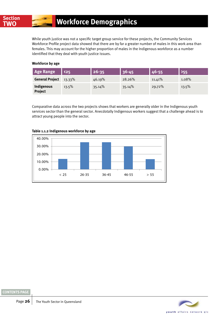While youth justice was not a specific target group service for these projects, the Community Services Workforce Profile project data showed that there are by far a greater number of males in this work area than females. This may account for the higher proportion of males in the Indigenous workforce as a number identified that they deal with youth justice issues.

#### **Workforce by age**

| <b>Age Range</b>             | $\langle 25$ | $26 - 35$ | 36-45  | 46-55  | 555   |
|------------------------------|--------------|-----------|--------|--------|-------|
| <b>General Project</b>       | 13.33%       | 46.19%    | 28.26% | 11.41% | 1.08% |
| Indigenous<br><b>Project</b> | 13.5%        | 35.14%    | 35.14% | 29.72% | 13.5% |

Comparative data across the two projects shows that workers are generally older in the Indigenous youth services sector than the general sector. Anecdotally Indigenous workers suggest that a challenge ahead is to attract young people into the sector.



#### **Table 1.1.2 Indigenous workforce by age**

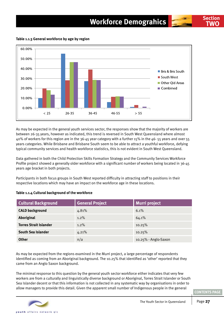# **Workforce Demograhics**

**Table 1.1.3 General workforce by age by region**



As may be expected in the general youth services sector, the responses show that the majority of workers are between 26-35 years, however as indicated, this trend is reversed in South West Queensland where almost 40% of workers for this region are in the 36-45 year category with a further 15% in the 46- 55 years and over 55 years categories. While Brisbane and Brisbane South seem to be able to attract a youthful workforce, defying typical community services and health workforce statistics, this is not evident in South West Queensland.

Data gathered in both the Child Protection Skills Formation Strategy and the Community Services Workforce Profile project showed a generally older workforce with a significant number of workers being located in 36-45 years age bracket in both projects.

Participants in both focus groups in South West reported difficulty in attracting staff to positions in their respective locations which may have an impact on the workforce age in these locations.

| <b>Cultural Background</b>    | <b>General Project</b> | <b>Murri project</b> |
|-------------------------------|------------------------|----------------------|
| <b>CALD background</b>        | 4.81%                  | 6.1%                 |
| Aboriginal                    | $1.2\%$                | 64.1%                |
| <b>Torres Strait Islander</b> | $1.2\%$                | 10.25%               |
| South Sea Islander            | 4.21%                  | 10.25%               |
| Other                         | n/a                    | 10.25% - Anglo-Saxon |

#### **Table 1.1.4 Cultural background of the workforce**

As may be expected from the regions examined in the Murri project, a large percentage of respondents identified as coming from an Aboriginal background. The 10.25% that identified as 'other' reported that they came from an Anglo Saxon background.

The minimal response to this question by the general youth sector workforce either indicates that very few workers are from a culturally and linguistically diverse background or Aboriginal, Torres Strait Islander or South Sea Islander decent or that this information is not collected in any systematic way by organisations in order to allow managers to provide this detail. Given the apparent small number of Indigenous people in the general



**TWO**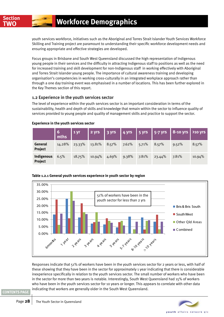youth services workforce, initiatives such as the Aboriginal and Torres Strait Islander Youth Services Workforce Skilling and Training project are paramount to understanding their specific workforce development needs and ensuring appropriate and effective strategies are developed.

Focus groups in Brisbane and South West Queensland discussed the high representation of Indigenous young people in their services and the difficulty in attracting Indigenous staff to positions as well as the need for increased training and skill development for non-Indigenous staff in working effectively with Aboriginal and Torres Strait Islander young people. The importance of cultural awareness training and developing organisation's competencies in working cross-culturally in an integrated workplace approach rather than through a one day training event was emphasised in a number of locations. This has been further explored in the Key Themes section of this report.

# 1.2 Experience in the youth services sector

The level of experience within the youth services sector is an important consideration in terms of the sustainability, health and depth of skills and knowledge that remain within the sector to influence quality of services provided to young people and quality of management skills and practice to support the sector.

|                              | $6$ mths | 1 yr   | 2 yrs  | 3 yrs | 4 yrs |       | 5 yrs 1 5-7 yrs | 8-10 yrs 1210 yrs |        |
|------------------------------|----------|--------|--------|-------|-------|-------|-----------------|-------------------|--------|
| General<br><b>Project</b>    | 14.28%   | 23.33% | 13.81% | 8.57% | 7.62% | 5.71% | 8.57%           | 9.52%             | 8.57%  |
| Indigenous<br><b>Project</b> | 6.5%     | 18.75% | 10.94% | 4.69% | 9.38% | 7.81% | 23.44%          | 7.81%             | 10.94% |

#### **Experience in the youth services sector**



#### Responses indicate that 51% of workers have been in the youth services sector for 2 years or less, with half of these showing that they have been in the sector for approximately 1 year indicating that there is considerable inexperience specifically in relation to the youth services sector. The small number of workers who have been in the sector for more than two years is notable. Interestingly, South West Queensland had 15% of workers who have been in the youth services sector for 10 years or longer. This appears to correlate with other data indicating that workers are generally older in the South West Queensland.

youth affairs network gid

Page 28 | The Youth Sector in Queensland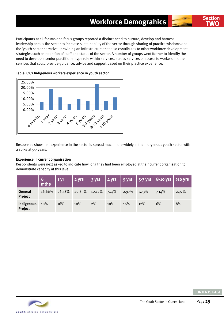# **Workforce Demograhics Section**

Participants at all forums and focus groups reported a distinct need to nurture, develop and harness leadership across the sector to increase sustainability of the sector through sharing of practice wisdoms and the 'youth sector narrative', providing an infrastructure that also contributes to other workforce development strategies such as retention of staff and status of the sector. A number of groups went further to identify the need to develop a senior practitioner type role within services, across services or access to workers in other services that could provide guidance, advice and support based on their practice experience.





Responses show that experience in the sector is spread much more widely in the Indigenous youth sector with a spike at 5-7 years.

#### **Experience in current organisation**

Respondents were next asked to indicate how long they had been employed at their current organisation to demonstrate capacity at this level.

|                           | $\begin{bmatrix} 6 \\ mths \end{bmatrix}$ | $1 \overline{y}$ r | 2 yrs     | 3 yrs  |       |       |          | 4 yrs 5 yrs 5-7 yrs 8-10 yrs 710 yrs |       |
|---------------------------|-------------------------------------------|--------------------|-----------|--------|-------|-------|----------|--------------------------------------|-------|
| General<br><b>Project</b> | 16.66%                                    | 26.78%             | $20.83\%$ | 10.12% | 7.74% | 2.97% | $7.73\%$ | 7.14%                                | 2.97% |
| Indigenous<br>Project     | 10%                                       | 16%                | 10%       | 2%     | 10%   | 16%   | 12%      | 6%                                   | 8%    |



**TWO**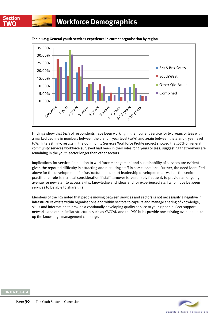



Findings show that 64% of respondents have been working in their current service for two years or less with a marked decline in numbers between the 2 and 3 year level (10%) and again between the 4 and 5 year level (5%). Interestingly, results in the Community Services Workforce Profile project showed that 46% of general community services workforce surveyed had been in their roles for 2 years or less, suggesting that workers are remaining in the youth sector longer than other sectors.

Implications for services in relation to workforce management and sustainability of services are evident given the reported difficulty in attracting and recruiting staff in some locations. Further, the need identified above for the development of infrastructure to support leadership development as well as the senior practitioner role is a critical consideration if staff turnover is reasonably frequent, to provide an ongoing avenue for new staff to access skills, knowledge and ideas and for experienced staff who move between services to be able to share this.

Members of the IRG noted that people moving between services and sectors is not necessarily a negative if infrastructure exists within organisations and within sectors to capture and manage sharing of knowledge, skills and information to provide a continually developing quality service to young people. Peer support networks and other similar structures such as YACCAN and the YSC hubs provide one existing avenue to take up the knowledge management challenge.

vouth affairs network old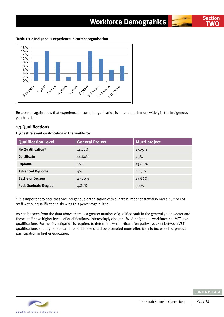# **Workforce Demograhics Section**

**Table 1.2.4 Indigenous experience in current organisation**



Responses again show that experience in current organisation is spread much more widely in the Indigenous youth sector.

# 1.3 Qualifications

#### **Highest relevant qualification in the workforce**

| <b>Qualification Level</b>  | <b>General Project</b> | <b>Murri project</b> |
|-----------------------------|------------------------|----------------------|
| No Qualification*           | $11.20\%$              | 17.05%               |
| <b>Certificate</b>          | 16.80%                 | 25%                  |
| <b>Diploma</b>              | 16%                    | 13.66%               |
| <b>Advanced Diploma</b>     | 4%                     | 2.27%                |
| <b>Bachelor Degree</b>      | 47.20%                 | 13.66%               |
| <b>Post Graduate Degree</b> | 4.80%                  | 3.4%                 |

\* it is important to note that one Indigenous organisation with a large number of staff also had a number of staff without qualifications skewing this percentage a little.

As can be seen from the data above there is a greater number of qualified staff in the general youth sector and these staff have higher levels of qualifications. Interestingly about 40% of Indigenous workforce has VET level qualifications. Further investigation is required to determine what articulation pathways exist between VET qualifications and higher education and if these could be promoted more effectively to increase Indigenous participation in higher education.



**TWO**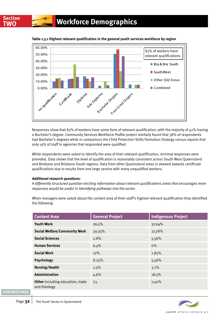

**Table 1.3.1 Highest relevant qualification in the general youth services workforce by region**

Responses show that 83% of workers have some form of relevant qualification, with the majority of 42% having a Bachelor's degree. Community Services Workforce Profile project similarly found that 38% of respondents had Bachelor's degrees while in comparison the Child Protection Skills Formation Strategy census reports that only 19% of staff in agencies that responded were qualified.

While respondents were asked to identify the area of their relevant qualification, minimal responses were provided. Data shows that the level of qualification is reasonably consistent across South West Queensland and Brisbane and Brisbane South regions. Data from other Queensland areas is skewed towards certificate qualifications due to results from one large service with many unqualified workers.

#### *Additional research questions:*

*A differently structured question eliciting information about relevant qualifications areas that encourages more responses would be useful in identifying pathways into the sector.*

| <b>Content Area</b>                              | <b>General Project</b> | <b>Indigenous Project</b> |
|--------------------------------------------------|------------------------|---------------------------|
| <b>Youth Work</b>                                | 26.5%                  | 37.04%                    |
| <b>Social Welfare/Community Work</b>             | 29.35%                 | 27.78%                    |
| <b>Social Sciences</b>                           | 2.8%                   | 5.56%                     |
| <b>Human Services</b>                            | 6.4%                   | $0\%$                     |
| <b>Social Work</b>                               | 12%                    | 1.85%                     |
| <b>Psychology</b>                                | 8.25%                  | 5.56%                     |
| <b>Nursing/Health</b>                            | 2.5%                   | 3.7%                      |
| Administration                                   | 4.6%                   | 18.5%                     |
| Other-including education, trade<br>and theology | 7.5                    | 7.40%                     |

When managers were asked about the content area of their staff's highest relevant qualification they identified the following:

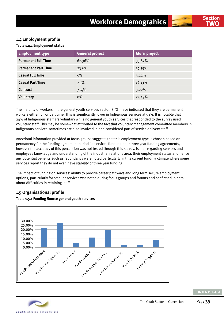# 1.4 Employment profile

#### **Table 1.4.1 Employment status**

| <b>Employment type</b>     | <b>General project</b> | Murri project |
|----------------------------|------------------------|---------------|
| <b>Permanent Full Time</b> | 62.36%                 | 33.87%        |
| <b>Permanent Part Time</b> | 23.6%                  | 19.35%        |
| <b>Casual Full Time</b>    | $0\%$                  | 3.22%         |
| <b>Casual Part Time</b>    | 7.3%                   | 16.13%        |
| <b>Contract</b>            | 7.74%                  | 3.22%         |
| <b>Voluntary</b>           | $0\%$                  | 24.19%        |

The majority of workers in the general youth services sector, 85%, have indicated that they are permanent workers either full or part time. This is significantly lower in Indigenous services at 53%. It is notable that  $24%$  of Indigenous staff are voluntary while no general youth services that responded to the survey used voluntary staff. This may be somewhat attributed to the fact that voluntary management committee members in Indigenous services sometimes are also involved in and considered part of service delivery staff.

Anecdotal information provided at focus groups suggests that this employment type is chosen based on permanency for the funding agreement period i.e services funded under three year funding agreements, however the accuracy of this perception was not tested through this survey. Issues regarding services and employees knowledge and understanding of the industrial relations area, their employment status and hence any potential benefits such as redundancy were noted particularly in this current funding climate where some services report they do not even have stability of three year funding.

The impact of funding on services' ability to provide career pathways and long term secure employment options, particularly for smaller services was noted during focus groups and forums and confirmed in data about difficulties in retaining staff.

# 1.5 Organisational profile



#### **Table 1.5.1 Funding Source general youth services**

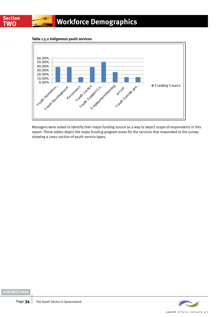



Managers were asked to identify their major funding source as a way to depict scope of respondents in this report. These tables depict the major funding program areas for the services that responded to the survey showing a cross section of youth service types.



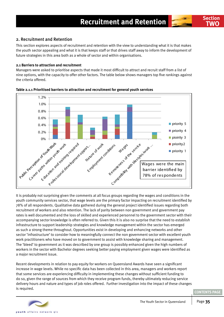## <span id="page-34-0"></span>2. Recruitment and Retention

This section explores aspects of recruitment and retention with the view to understanding what it is that makes the youth sector appealing and what it is that keeps staff or that drives staff away to inform the development of future strategies in this area both as a whole of sector and within organisations.

#### **2.1 Barriers to attraction and recruitment**

Managers were asked to prioritise aspects that made it most difficult to attract and recruit staff from a list of nine options, with the capacity to offer other factors. The table below shows managers top five rankings against the criteria offered.



**Table 2.1.1 Prioritised barriers to attraction and recruitment for general youth services**

It is probably not surprising given the comments at all focus groups regarding the wages and conditions in the youth community services sector, that wage levels are the primary factor impacting on recruitment identified by 78% of all respondents. Qualitative data gathered during the general project identified issues regarding both recruitment of workers and also retention. The lack of parity between non government and government pay rates is well documented and the loss of skilled and experienced personnel to the government sector with their accompanying sector knowledge is often referred to. Given this it is also no surprise that the need to establish infrastructure to support leadership strategies and knowledge management within the sector has emerged as such a strong theme throughout. Opportunities exist in developing and enhancing networks and other sector 'infrastructure' to consider how to meaningfully connect the non government sector with excellent youth work practitioners who have moved on to government to assist with knowledge sharing and management. The 'bleed' to government as it was described by one group is possibly enhanced given the high numbers of workers in the sector with Bachelor degrees seeking better paying employment given wages were identified as a major recruitment issue.

Recent developments in relation to pay equity for workers on Queensland Awards have seen a significant increase in wage levels. While no specific data has been collected in this area, managers and workers report that some services are experiencing difficulty in implementing these changes without sufficient funding to do so, given the range of sources from which they receive program funds, thereby ultimately reducing service delivery hours and nature and types of job roles offered. Further investigation into the impact of these changes is required.



**TWO**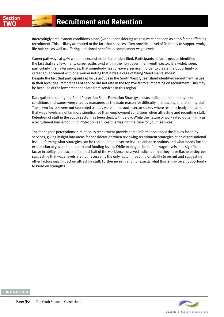Interestingly employment conditions alone (without considering wages) were not seen as a top factor affecting recruitment. This is likely attributed to the fact that services often provide a level of flexibility to support work/ life balance as well as offering additional benefits to complement wage levels.

Career pathways at 47% were the second major factor identified. Participants at focus groups identified the fact that very few, if any, career paths exist within the non government youth sector. It is widely seen, particularly in smaller services, that somebody has to leave a service in order to create the opportunity of career advancement with one worker noting that it was a case of filling 'dead man's shoes'. Despite the fact that participants at focus groups in the South West Queensland identified recruitment issues in their localities, remoteness of service did not rate in the top five factors impacting on recruitment. This may be because of the lower response rate from services in this region.

Data gathered during the Child Protection Skills Formation Strategy census indicated that employment conditions and wages were cited by managers as the main reason for difficulty in attracting and retaining staff. These two factors were not separated as they were in the youth sector survey where results clearly indicated that wage levels are of far more significance than employment conditions when attracting and recruiting staff. Retention of staff in the youth sector has been dealt with below. While the nature of work rated quite highly as a recruitment barrier for Child Protection services this was not the case for youth services.

The managers' perceptions in relation to recruitment provide some information about the issues faced by services, giving insight into areas for consideration when reviewing recruitment strategies at an organisational level, informing what strategies can be considered at a sector level to enhance options and what needs further exploration at government policy and funding levels. While managers identified wage levels a as significant factor in ability to attract staff almost half of the workforce surveyed indicated that they have Bachelor degrees suggesting that wage levels are not necessarily the only factor impacting on ability to recruit and suggesting other factors may impact on attracting staff. Further investigation of exactly what this is may be an opportunity to build on strengths.

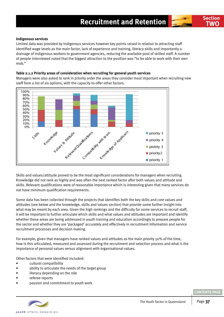#### **Indigenous services**

Limited data was provided by Indigenous services however key points raised in relation to attracting staff identified wage levels as the main factor, lack of experience and training, literacy skills and importantly a drainage of Indigenous workers to government agencies, reducing the available pool of skilled staff. A number of people interviewed noted that the biggest attraction to the position was "to be able to work with their own mob."

## **Table 2.1.2 Priority areas of consideration when recruiting for general youth services**

Managers were also asked to rank in priority order the areas they consider most important when recruiting new staff from a list of six options, with the capacity to offer other factors.



Skills and values/attitude proved to be the most significant considerations for managers when recruiting. Knowledge did not rank as highly and was often the next ranked factor after both values and attitude and skills. Relevant qualifications were of reasonable importance which is interesting given that many services do not have minimum qualification requirements.

Some data has been collected through the projects that identifies both the key skills and core values and attitudes (see below and the knowledge, skills and values section) that provide some further insight into what may be meant by each area. Given the high rankings and the difficulty for some services to recruit staff, it will be important to further articulate which skills and what values and attitudes are important and identify whether these areas are being addressed in youth training and education accordingly to prepare people for the sector and whether they are 'packaged' accurately and effectively in recruitment information and service recruitment processes and decision making.

For example, given that managers have ranked values and attitudes as the main priority 50% of the time, how is this articulated, measured and assessed during the recruitment and selection process and what is the importance of personal values versus alignment with organisational values.

Other factors that were identified included:

- cultural compatibility
- ability to articulate the needs of the target group
- literacy depending on the role
- referee reports
- passion and commitment to youth work



**Section TWO**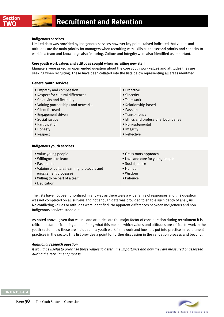## **Indigenous services**

Limited data was provided by Indigenous services however key points raised indicated that values and attitudes are the main priority for managers when recruiting with skills as the second priority and capacity to work in a team and knowledge also featuring. Culture and integrity were also identified as important.

#### **Core youth work values and attitudes sought when recruiting new staff**

Managers were asked an open ended question about the core youth work values and attitudes they are seeking when recruiting. These have been collated into the lists below representing all areas identified.

#### **General youth services**

- Empathy and compassion
- Respect for cultural differences
- Creativity and flexibility
- Valuing partnerships and networks
- Client focused
- Engagement driven
- Social justice
- Participation
- Honesty
- Respect

#### **Indigenous youth services**

- Value young people • Willingness to learn • Passionate • Valuing of cultural learning, protocols and • Humour
- engagement processes
- Willing to be part of a team
- Dedication
- Grass roots approach
- Love and care for young people

• Ethics and professional boundaries

• Social justice

• Proactive • Sincerity • Teamwork

• Passion • Transparency

• Integrity • Reflective

• Relationship based

• Non-judgmental

- Wisdom
- Patience

The lists have not been prioritised in any way as there were a wide range of responses and this question was not completed on all surveys and not enough data was provided to enable such depth of analysis. No conflicting values or attitudes were identified. No apparent differences between Indigenous and non Indigenous services stood out.

As noted above, given that values and attitudes are the major factor of consideration during recruitment it is critical to start articulating and defining what this means; which values and attitudes are critical to work in the youth sector, how these are included in a youth work framework and how it is put into practice in recruitment practices in the sector. This list provides a point for further discussion in the validation process and beyond.

## *Additional research question*

*It would be useful to prioritise these values to determine importance and how they are measured or assessed during the recruitment process.*

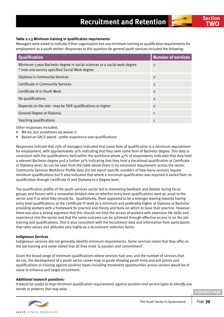Managers were asked to indicate if their organisation has any minimum training or qualification requirements for employment as a youth worker. Responses to this question for general youth services included the following:

| <b>Qualification</b>                                                                                                         | <b>Number of services</b> |
|------------------------------------------------------------------------------------------------------------------------------|---------------------------|
| Minimum 3 year Bachelor degree in social sciences or a social work degree<br>* note one service specified Social Work degree | 7                         |
| Diploma in Community Services                                                                                                | $\overline{2}$            |
| Certificate in Community Services                                                                                            | $\overline{2}$            |
| Certificate IV in Youth Work                                                                                                 | $\overline{2}$            |
| No qualifications                                                                                                            | $\overline{2}$            |
| Depends on the role - may be TAFE qualifications or higher                                                                   | $\overline{2}$            |
| General Degree or Diploma                                                                                                    | $\mathbf{1}$              |
| <b>Teaching qualifications</b>                                                                                               | $\mathbf{1}$              |

Other responses included:

- We do, but sometimes we waiver it
- Based on SACS award prefer experience over qualifications

Responses indicate that 79% of managers indicated that some form of qualification is a minimum requirement for employment, with approximately 30% indicating that they seek some form of Bachelor degree. This data is consistent with the qualifications held within the workforce where  $47%$  of respondents indicated that they hold a relevant Bachelor degree and a further 32% indicating that they hold a Vocational qualification at Certificate or Diploma level. As can be seen from the table above there is no consistent requirement across the sector. Community Services Workforce Profile data did not report specific numbers of how many services require minimum qualifications but it also indicated that where a minimum qualification was required it varied from no qualification through Certificate IV and Diploma to a Degree level.

The qualification profile of the youth services sector led to interesting feedback and debate during focus groups and forums with a somewhat divided view on whether entry level qualifications were an asset to the sector and if so what they should be. Qualitatively, there appeared to be a stronger leaning towards having entry level qualifications at the Certificate IV level as a minimum and preferably higher at Diploma or Bachelor providing workers with a framework for practice and theory and tools on which to base their practice. However there was also a strong argument that this should not limit the access of workers with extensive life skills and experience into the sector and that the same outcome can be achieved through effective access to on the job training and qualifications. This is also consistent with the recruitment data and information from participants that rates values and attitudes very highly as a recruitment selection factor.

## **Indigenous Services**

Indigenous services did not generally identify minimum requirements. Some services noted that they offer on the job training and some stated that all they need 'is passion and commitment'.

Given the broad range of minimum qualifications where services had one, and the number of services that do not, the development of a youth sector career map or guide showing youth entry and exit points and qualifications or training against position types including movement opportunities across sectors would be of value to enhance and target recruitment.

## *Additional research questions:*

*It would be useful to map minimum qualification requirements against position and service types to identify any trends or patterns that may exist.*

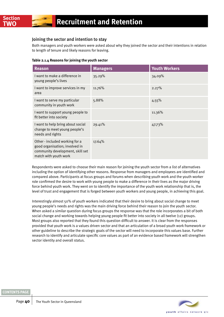## Joining the sector and intention to stay

Both managers and youth workers were asked about why they joined the sector and their intentions in relation to length of tenure and likely reasons for leaving.

|  | Table 2.1.4 Reasons for joining the youth sector |
|--|--------------------------------------------------|
|  |                                                  |

| <b>Reason</b>                                                                                                                 | <b>Managers</b> | <b>Youth Workers</b> |
|-------------------------------------------------------------------------------------------------------------------------------|-----------------|----------------------|
| I want to make a difference in<br>young people's lives                                                                        | 35.29%          | 34.09%               |
| I want to improve services in my<br>area                                                                                      | 11.76%          | 2.27%                |
| I want to serve my particular<br>community in youth work                                                                      | 5.88%           | 4.55%                |
| I want to support young people to<br>fit better into society                                                                  |                 | 11.36%               |
| I want to help bring about social<br>change to meet young people's<br>needs and rights                                        | 29.41%          | 47.73%               |
| Other - included working for a<br>good organisation; involved in<br>community development, skill set<br>match with youth work | 17.64%          |                      |

Respondents were asked to choose their main reason for joining the youth sector from a list of alternatives including the option of identifying other reasons. Response from managers and employees are identified and compared above. Participants at focus groups and forums when describing youth work and the youth worker role confirmed the desire to work with young people to make a difference in their lives as the major driving force behind youth work. They went on to identify the importance of the youth work relationship that is, the level of trust and engagement that is forged between youth workers and young people, in achieving this goal.

Interestingly almost 50% of youth workers indicated that their desire to bring about social change to meet young people's needs and rights was the main driving force behind their reason to join the youth sector. When asked a similar question during focus groups the response was that the role incorporates a bit of both social change and working towards helping young people fit better into society in all twelve (12) groups. Most groups also reported that they found this question difficult to answer. It is clear from the responses provided that youth work is a values driven sector and that an articulation of a broad youth work framework or other guideline to describe the strategic goals of the sector will need to incorporate this values base. Further research to identify and articulate specific core values as part of an evidence based framework will strengthen sector identity and overall status.

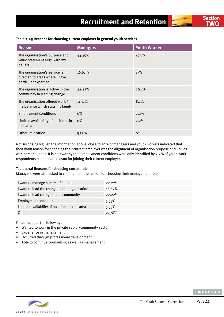| Reason                                                                                  | <b>Managers</b> | <b>Youth Workers</b> |
|-----------------------------------------------------------------------------------------|-----------------|----------------------|
| The organisation's purpose and<br>value statement align with my<br>beliefs              | 44.45%          | 47.8%                |
| The organisation's service is<br>directed to areas where I have<br>particular expertise | 16.67%          | 13%                  |
| The organisation is active in the<br>community in leading change                        | 22.22%          | 26.1%                |
| The organisation offered work /<br>life balance which suits my family                   | 11.11%          | 8.7%                 |
| <b>Employment conditions</b>                                                            | $0\%$           | 2.2%                 |
| Limited availability of positions in<br>this area                                       | $0\%$           | $2.2\%$              |
| Other-relocation                                                                        | 5.55%           | $0\%$                |

## **Table 2.1.5 Reasons for choosing current employer in general youth services**

Not surprisingly given the information above, close to 50% of managers and youth workers indicated that their main reason for choosing their current employer was the alignment of organisation purpose and values with personal ones. It is noteworthy that employment conditions were only identified by 2.2% of youth work respondents as the main reason for joining their current employer.

#### **Table 2.1.6 Reasons for choosing current role**

Managers were also asked to comment on the reason for choosing their management role.

| I want to manage a team of people              | $22.22\%$ |
|------------------------------------------------|-----------|
| I want to lead the change in the organisation  | 16.67%    |
| I want to lead change in the community         | 22.22%    |
| <b>Employment conditions</b>                   | 5.55%     |
| Limited availability of positions in this area | 5.55%     |
| Other-                                         | 27.78%    |

Other includes the following:

- Wanted to work in the private sector/community sector
- Experience in management
- Occurred through professional development
- Able to continue counselling as well as management

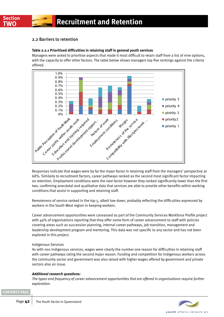

## 2.2 Barriers to retention

## **Table 2.2.1 Prioritised difficulties in retaining staff in general youth services**

Managers were asked to prioritise aspects that made it most difficult to retain staff from a list of nine options, with the capacity to offer other factors. The table below shows managers top five rankings against the criteria offered.



Responses indicate that wages were by far the major factor in retaining staff from the managers' perspective at 68%. Similarly to recruitment factors, career pathways ranked as the second most significant factor impacting on retention. Employment conditions were the next factor however they ranked significantly lower than the first two, confirming anecdotal and qualitative data that services are able to provide other benefits within working conditions that assist in supporting and retaining staff.

Remoteness of service ranked in the top 5, albeit low down, probably reflecting the difficulties expressed by workers in the South West region in keeping workers.

Career advancement opportunities were canvassed as part of the Community Services Workforce Profile project with 49% of organisations reporting that they offer some form of career advancement to staff with policies covering areas such as succession planning, internal career pathways, job transition, management and leadership development program and mentoring. This data was not specific to any sector and has not been explored in this project.

## Indigenous Services

As with non Indigenous services, wages were clearly the number one reason for difficulties in retaining staff with career pathways rating the second major reason. Funding and competition for Indigenous workers across the community sector and government was also raised with higher wages offered by government and private sectors also an issue.

## *Additional research questions:*

*The types and frequency of career advancement opportunities that are offered in organisations require further exploration.*

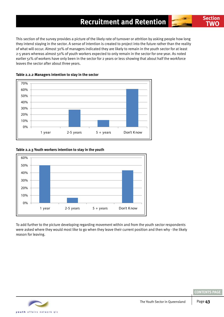This section of the survey provides a picture of the likely rate of turnover or attrition by asking people how long they intend staying in the sector. A sense of intention is created to project into the future rather than the reality of what will occur. Almost 30% of managers indicated they are likely to remain in the youth sector for at least 2-5 years whereas almost 50% of youth workers expected to only remain in the sector for one year. As noted earlier 51% of workers have only been in the sector for 2 years or less showing that about half the workforce leaves the sector after about three years.





## **Table 2.2.3 Youth workers intention to stay in the youth**



To add further to the picture developing regarding movement within and from the youth sector respondents were asked where they would most like to go when they leave their current position and then why - the likely reason for leaving.

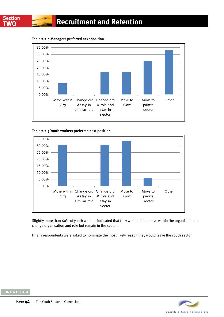**Table 2.2.4 Managers preferred next position**



**Table 2.2.5 Youth workers preferred next position**



Slightly more than 60% of youth workers indicated that they would either move within the organisation or change organisation and role but remain in the sector.

Finally respondents were asked to nominate the most likely reason they would leave the youth sector.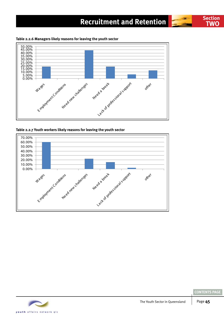# **Section Recruitment and Retention TWO**





**Table 2.2.6 Managers likely reasons for leaving the youth sector**





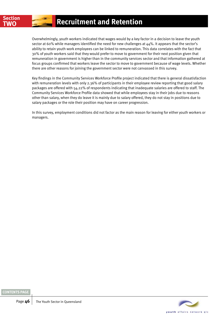Overwhelmingly, youth workers indicated that wages would by a key factor in a decision to leave the youth sector at 60% while managers identified the need for new challenges at 44%. It appears that the sector's ability to retain youth work employees can be linked to remuneration. This data correlates with the fact that 30% of youth workers said that they would prefer to move to government for their next position given that remuneration in government is higher than in the community services sector and that information gathered at focus groups confirmed that workers leave the sector to move to government because of wage levels. Whether there are other reasons for joining the government sector were not canvassed in this survey.

Key findings in the Community Services Workforce Profile project indicated that there is general dissatisfaction with remuneration levels with only 2.36% of participants in their employee review reporting that good salary packages are offered with 54.22% of respondents indicating that inadequate salaries are offered to staff. The Community Services Workforce Profile data showed that while employees stay in their jobs due to reasons other than salary, when they do leave it is mainly due to salary offered, they do not stay in positions due to salary packages or the role their position may have on career progression.

In this survey, employment conditions did not factor as the main reason for leaving for either youth workers or managers.

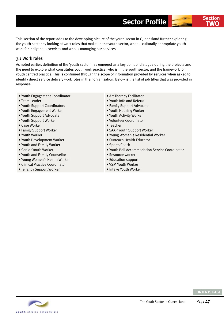This section of the report adds to the developing picture of the youth sector in Queensland further exploring the youth sector by looking at work roles that make up the youth sector, what is culturally appropriate youth work for Indigenous services and who is managing our services.

## 3.1 Work roles

As noted earlier, definition of the 'youth sector' has emerged as a key point of dialogue during the projects and the need to explore what constitutes youth work practice, who is in the youth sector, and the framework for youth centred practice. This is confirmed through the scope of information provided by services when asked to identify direct service delivery work roles in their organisation. Below is the list of job titles that was provided in response.

- Youth Engagement Coordinator
- Team Leader
- Youth Support Coordinators
- Youth Engagement Worker
- Youth Support Advocate
- Youth Support Worker
- Case Worker
- Family Support Worker
- Youth Worker
- Youth Development Worker
- Youth and Family Worker
- Senior Youth Worker
- Youth and Family Counsellor
- Young Women's Health Worker
- Clinical Practice Coordinator
- Tenancy Support Worker
- Art Therapy Facilitator
- Youth Info and Referral
- Family Support Advocate
- Youth Housing Worker
- Youth Activity Worker
- Volunteer Coordinator
- Teacher
- SAAP Youth Support Worker
- Young Women's Residential Worker
- Outreach Health Educator
- Sports Coach
- Youth Bail Accommodation Service Coordinator
- Resource worker
- Education support
- VSM Youth Worker
- Intake Youth Worker

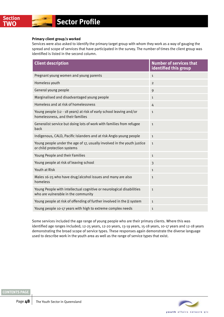## **Primary client group/s worked**

Services were also asked to identify the primary target group with whom they work as a way of gauging the spread and scope of services that have participated in the survey. The number of times the client group was identified is listed in the second column.

| <b>Client description</b>                                                                                    | <b>Number of services that</b><br>identified this group |
|--------------------------------------------------------------------------------------------------------------|---------------------------------------------------------|
| Pregnant young women and young parents                                                                       | $\mathbf{1}$                                            |
| Homeless youth                                                                                               | $\overline{2}$                                          |
| General young people                                                                                         | 9                                                       |
| Marginalised and disadvantaged young people                                                                  | $\mathbf{1}$                                            |
| Homeless and at risk of homelessness                                                                         | 4                                                       |
| Young people (12 - 18 years) at risk of early school leaving and/or<br>homelessness, and their families      | $\mathbf{1}$                                            |
| Generalist service but doing lots of work with families from refugee<br>back                                 | $\mathbf{1}$                                            |
| Indigenous, CALD, Pacific Islanders and at risk Anglo young people                                           | $\mathbf{1}$                                            |
| Young people under the age of 17, usually involved in the youth justice<br>or child protection systems       | $\mathbf{1}$                                            |
| Young People and their Families                                                                              | $\mathbf{1}$                                            |
| Young people at risk of leaving school                                                                       | 3                                                       |
| Youth at Risk                                                                                                | $\mathbf{1}$                                            |
| Males 16-25 who have drug/alcohol issues and many are also<br>homeless                                       | $\mathbf{1}$                                            |
| Young People with intellectual cognitive or neurological disabilities<br>who are vulnerable in the community | $\mathbf{1}$                                            |
| Young people at risk of offending of further involved in the JJ system                                       | $\mathbf{1}$                                            |
| Young people 10-17 years with high to extreme complex needs                                                  | $\mathbf 1$                                             |

Some services included the age range of young people who are their primary clients. Where this was identified age ranges included; 12-25 years, 12-20 years, 13-19 years, 15-18 years, 10-17 years and 12-18 years demonstrating the broad scope of service types. These responses again demonstrate the diverse language used to describe work in the youth area as well as the range of service types that exist.

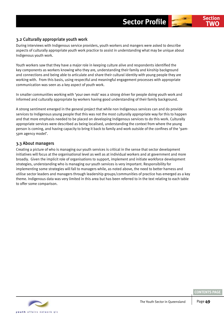## 3.2 Culturally appropriate youth work

During interviews with Indigenous service providers, youth workers and mangers were asked to describe aspects of culturally appropriate youth work practice to assist in understanding what may be unique about Indigenous youth work.

Youth workers saw that they have a major role in keeping culture alive and respondents identified the key components as workers knowing who they are, understanding their family and kinship background and connections and being able to articulate and share their cultural identity with young people they are working with. From this basis, using respectful and meaningful engagement processes with appropriate communication was seen as a key aspect of youth work.

In smaller communities working with 'your own mob' was a strong driver for people doing youth work and informed and culturally appropriate by workers having good understanding of their family background.

A strong sentiment emerged in the general project that while non Indigenous services can and do provide services to Indigenous young people that this was not the most culturally appropriate way for this to happen and that more emphasis needed to be placed on developing Indigenous services to do this work. Culturally appropriate services were described as being localised, understanding the context from where the young person is coming, and having capacity to bring it back to family and work outside of the confines of the '9am-5pm agency model'.

## 3.3 About managers

Creating a picture of who is managing our youth services is critical in the sense that sector development initiatives will focus at the organisational level as well as at individual workers and at government and more broadly. Given the implicit role of organisations to support, implement and initiate workforce development strategies, understanding who is managing our youth services is very important. Responsibility for implementing some strategies will fall to managers while, as noted above, the need to better harness and utilise sector leaders and managers through leadership groups/communities of practice has emerged as a key theme. Indigenous data was very limited in this area but has been referred to in the text relating to each table to offer some comparison.

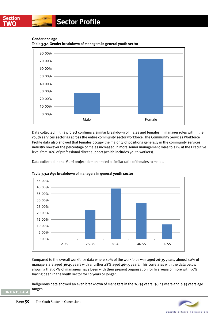

## **TWO Sector Profile**

**Gender and age**



**Table 3.3.1 Gender breakdown of managers in general youth sector**

Data collected in this project confirms a similar breakdown of males and females in manager roles within the youth services sector as across the entire community sector workforce. The Community Services Workforce Profile data also showed that females occupy the majority of positions generally in the community services industry however the percentage of males increased in more senior management roles to 31% at the Executive level from 16% of professional direct support (which includes youth workers).

Data collected in the Murri project demonstrated a similar ratio of females to males.



**Table 3.3.2 Age breakdown of managers in general youth sector**

Compared to the overall workforce data where 40% of the workforce was aged 26-35 years, almost 40% of managers are aged 36-45 years with a further 28% aged 46-55 years. This correlates with the data below showing that 67% of managers have been with their present organisation for five years or more with 50% having been in the youth sector for 10 years or longer.

Indigenous data showed an even breakdown of managers in the 26-35 years, 36-45 years and 4-55 years age ranges.

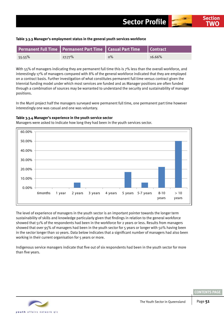#### **Table 3.3.3 Manager's employment status in the general youth services workforce**

|           | Permanent Full Time Permanent Part Time Casual Part Time Contract |       |        |
|-----------|-------------------------------------------------------------------|-------|--------|
| $55.55\%$ | 27.77%                                                            | $0\%$ | 16.66% |

With 55% of managers indicating they are permanent full time this is 7% less than the overall workforce, and interestingly 17% of managers compared with 8% of the general workforce indicated that they are employed on a contract basis. Further investigation of what constitutes permanent full time versus contract given the triennial funding model under which most services are funded and as Manager positions are often funded through a combination of sources may be warranted to understand the security and sustainability of manager positions.

In the Murri project half the managers surveyed were permanent full time, one permanent part time however interestingly one was casual and one was voluntary.

## **Table 3.3.4 Manager's experience in the youth service sector**

Managers were asked to indicate how long they had been in the youth services sector.

The level of experience of managers in the youth sector is an important pointer towards the longer term sustainability of skills and knowledge particularly given that findings in relation to the general workforce showed that 51% of the respondents had been in the workforce for 2 years or less. Results from managers 0.00% 10.00% 20.00% 30.00% 6months 1 year 2 years 3 years 4 years 5 years 5-7 years 8-10 years  $> 10$ years

showed that over 95% of managers had been in the youth sector for 5 years or longer with 50% having been in the sector longer than 10 years. Data below indicates that a significant number of managers had also been working in their current organisation for 5 years or more.

Indigenous service managers indicate that five out of six respondents had been in the youth sector for more than five years.



40.00%

50.00%

60.00%

**TWO**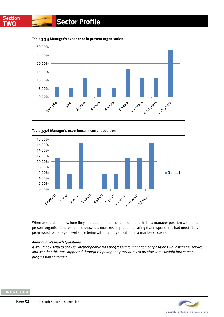

**Table 3.3.5 Manager's experience in present organisation**

**Table 3.3.6 Manager's experience in current position**



When asked about how long they had been in their current position, that is a manager position within their present organisation, responses showed a more even spread indicating that respondents had most likely progressed to manager level since being with their organisation in a number of cases.

## *Additional Research Questions*

*It would be useful to canvas whether people had progressed to management positions while with the service, and whether this was supported through HR policy and procedures to provide some insight into career progression strategies.*

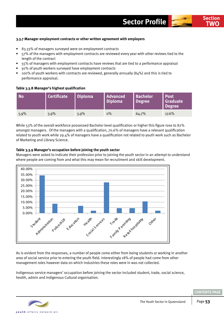## **3.3.7 Manager employment contracts or other written agreement with employers**

- 83.33% of managers surveyed were on employment contracts
- 57% of the managers with employment contracts are reviewed every year with other reviews tied to the length of the contract
- 55% of managers with employment contracts have reviews that are tied to a performance appraisal
- 91% of youth workers surveyed have employment contracts
- 100% of youth workers with contracts are reviewed, generally annually (84%) and this is tied to performance appraisal.

## **Table 3.3.8 Manager's highest qualification**

| <b>No</b> | <b>Certificate</b> | <b>Diploma</b> | <b>Advanced</b><br><b>Diploma</b> | <b>Bachelor</b><br><b>Degree</b> | <b>Post</b><br><b>Graduate</b><br>Degree |
|-----------|--------------------|----------------|-----------------------------------|----------------------------------|------------------------------------------|
| 5.9%      | $5.9\%$            | $5.9\%$        | $0\%$                             | 64.7%                            | 17.6%                                    |

While 53% of the overall workforce possessed Bachelor level qualification or higher this figure rose to 82% amongst managers. Of the managers with a qualification, 70.6% of managers have a relevant qualification related to youth work while 29.4% of managers have a qualification not related to youth work such as Bachelor of Marketing and Library Science.

## **Table 3.3.9 Manager's occupation before joining the youth sector**

Managers were asked to indicate their profession prior to joining the youth sector in an attempt to understand where people are coming from and what this may mean for recruitment and skill development.



As is evident from the responses, a number of people come either from being students or working in another area of social service prior to entering the youth field. Interestingly 18% of people had come from other management roles however data on which industries these roles were in was not collected.

Indigenous service managers' occupation before joining the sector included student, trade, social science, health, admin and Indigenous Cultural organisation.



**[CONTENTS PAGE](#page-2-0)**

**TWO**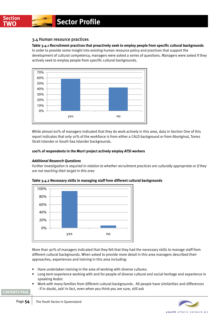## 3.4 Human resource practices

## **Table 3.4.1 Recruitment practices that proactively seek to employ people from specific cultural backgrounds**

In order to provide some insight into existing human resource policy and practices that support the development of cultural competency, managers were asked a series of questions. Managers were asked if they actively seek to employ people from specific cultural backgrounds.



While almost 60% of managers indicated that they do work actively in this area, data in Section One of this report indicates that only 10% of the workforce is from either a CALD background or from Aboriginal, Torres Strait Islander or South Sea Islander backgrounds.

## **100% of respondents in the Murri project actively employ ATSI workers**

## *Additional Research Questions*

*Further investigation is required in relation to whether recruitment practices are culturally appropriate or if they are not reaching their target in this area*





More than 90% of managers indicated that they felt that they had the necessary skills to manage staff from different cultural backgrounds. When asked to provide more detail in this area managers described their approaches, experiences and training in this area including:

- Have undertaken training in the area of working with diverse cultures.
- Long term experience working with and for people of diverse cultural and social heritage and experience in speaking Arabic
- Work with many families from different cultural backgrounds. All people have similarities and differences - if in doubt, ask! In fact, even when you think you are sure, still ask

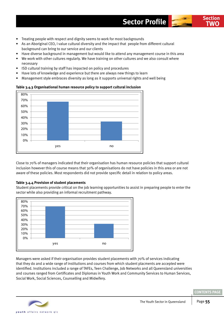- Treating people with respect and dignity seems to work for most backgrounds
- As an Aboriginal CEO, I value cultural diversity and the impact that people from different cultural background can bring to our service and our clients
- Have diverse background in management but would like to attend any management course in this area
- We work with other cultures regularly. We have training on other cultures and we also consult where necessary
- ISD cultural training by staff has impacted on policy and procedures
- Have lots of knowledge and experience but there are always new things to learn
- Management style embraces diversity as long as it supports universal rights and well being

## **Table 3.4.3 Organisational human resource policy to support cultural inclusion**



Close to 70% of managers indicated that their organisation has human resource policies that support cultural inclusion however this of course means that 30% of organisations do not have policies in this area or are not aware of these policies. Most respondents did not provide specific detail in relation to policy areas.

## **Table 3.4.4 Provision of student placements**

Student placements provide critical on the job learning opportunities to assist in preparing people to enter the sector while also providing an informal recruitment pathway.



Managers were asked if their organisation provides student placements with 70% of services indicating that they do and a wide range of institutions and courses from which student placments are accepted were identified. Institutions included a range of TAFEs, Teen Challenge, Job Networks and all Queensland universities and courses ranged from Certificates and Diplomas in Youth Work and Community Services to Human Services, Social Work, Social Sciences, Counselling and Midwifery.



**TWO**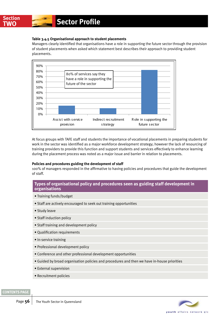## **Table 3.4.5 Organisational approach to student placements**

Managers clearly identified that organisations have a role in supporting the future sector through the provision of student placements when asked which statement best describes their approach to providing student placements.



At focus groups with TAFE staff and students the importance of vocational placements in preparing students for work in the sector was identified as a major workforce development strategy; however the lack of resourcing of training providers to provide this function and support students and services effectively to enhance learning during the placement process was noted as a major issue and barrier in relation to placements.

## **Policies and procedures guiding the development of staff**

100% of managers responded in the affirmative to having policies and procedures that guide the development of staff.

## **Types of organisational policy and procedures seen as guiding staff development in organisations**

- Training funds/budget
- Staff are actively encouraged to seek out training opportunities
- Study leave
- Staff induction policy
- Staff training and development policy
- Qualification requirements
- In-service training
- Professional development policy
- Conference and other professional development opportunities
- Guided by broad organisation policies and procedures and then we have in-house priorities
- External supervision
- Recruitment policies



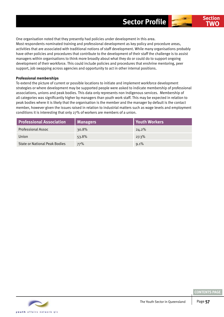One organisation noted that they presently had policies under development in this area. Most respondents nominated training and professional development as key policy and procedure areas, activities that are associated with traditional notions of staff development. While many organisations probably have other policies and procedures that contribute to the development of their staff the challenge is to assist managers within organisations to think more broadly about what they do or could do to support ongoing development of their workforce. This could include policies and procedures that enshrine mentoring, peer support, job swapping across agencies and opportunity to act in other internal positions.

## **Professional memberships**

To extend the picture of current or possible locations to initiate and implement workforce development strategies or where development may be supported people were asked to indicate membership of professional associations, unions and peak bodies. This data only represents non Indigenous services. Membership of all categories was significantly higher by managers than youth work staff. This may be expected in relation to peak bodies where it is likely that the organisation is the member and the manager by default is the contact member, however given the issues raised in relation to industrial matters such as wage levels and employment conditions it is interesting that only 27% of workers are members of a union.

| <b>Professional Association</b>      | Managers | Youth Workers |
|--------------------------------------|----------|---------------|
| Professional Assoc                   | $30.8\%$ | $24.2\%$      |
| Union                                | 53.8%    | 27.3%         |
| <b>State or National Peak Bodies</b> | 77%      | 9.1%          |

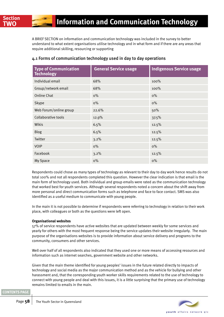A BRIEF SECTION on information and communication technology was included in the survey to better understand to what extent organisations utilise technology and in what form and if there are any areas that require additional skilling, resourcing or supporting

| <b>Type of Communication</b><br><b>Technology</b> | <b>General Service usage</b> | <b>Indigenous Service usage</b> |
|---------------------------------------------------|------------------------------|---------------------------------|
| Individual email                                  | 68%                          | $100\%$                         |
| Group/network email                               | 68%                          | 100%                            |
| Online Chat                                       | $0\%$                        | $0\%$                           |
| Skype                                             | $0\%$                        | $0\%$                           |
| Web Forum/online group                            | 22.6%                        | 50%                             |
| Collaborative tools                               | 12.9%                        | 37.5%                           |
| Wikis                                             | 6.5%                         | 12.5%                           |
| <b>Blog</b>                                       | 6.5%                         | 12.5%                           |
| Twitter                                           | 3.2%                         | 12.5%                           |
| <b>VOIP</b>                                       | $0\%$                        | $0\%$                           |
| Facebook                                          | 3.2%                         | 12.5%                           |
| My Space                                          | $0\%$                        | $0\%$                           |

## 4.1 Forms of communication technology used in day to day operations

Respondents could chose as many types of technology as relevant to their day to day work hence results do not total 100% and not all respondents completed this question. However the clear indication is that email is the main form of technology used. Both individual and group emails were rated as the communication technology that worked best for youth services. Although several respondents noted a concern about the shift away from more personal and direct communication forms such as telephone and face to face contact. SMS was also identified as a useful medium to communicate with young people.

In the main it is not possible to determine if respondents were referring to technology in relation to their work place, with colleagues or both as the questions were left open.

## **Organisational websites**

57% of service respondents have active websites that are updated between weekly for some services and yearly for others with the most frequent response being the service updates their website irregularly. The main purpose of the organisations websites is to provide information about service delivery and programs to the community, consumers and other services.

Well over half of all respondents also indicated that they used one or more means of accessing resources and information such as internet searches, government website and other networks.

Given that the main theme identified for young peoples' issues in the future related directly to impacts of technology and social media as the major communication method and as the vehicle for bullying and other harassment and, that the corresponding youth worker skills requirements related to the use of technology to connect with young people and deal with this issues, it is a little surprising that the primary use of technology remains limited to emails in the main.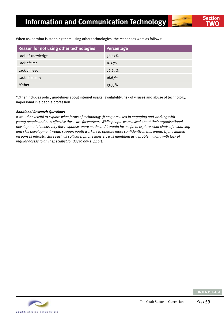When asked what is stopping them using other technologies, the responses were as follows:

| Reason for not using other technologies | <b>Percentage</b> |
|-----------------------------------------|-------------------|
| Lack of knowledge                       | 36.67%            |
| Lack of time                            | 16.67%            |
| Lack of need                            | 26.67%            |
| Lack of money                           | 16.67%            |
| *Other                                  | 13.33%            |

\*Other includes policy guidelines about internet usage, availability, risk of viruses and abuse of technology, impersonal in a people profession

## *Additional Research Questions*

*It would be useful to explore what forms of technology (if any) are used in engaging and working with young people and how effective these are for workers. While people were asked about their organisational developmental needs very few responses were made and it would be useful to explore what kinds of resourcing and skill development would support youth workers to operate more confidently in this arena. Of the limited responses infrastructure such as software, phone lines etc was identified as a problem along with lack of regular access to an IT specialist for day to day support.*

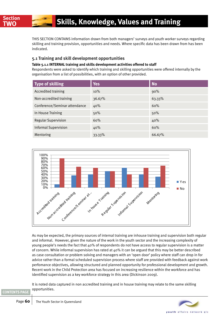This section contains information drawn from both managers' surveys and youth worker surveys regarding skilling and training provision, opportunities and needs. Where specific data has been drawn from has been indicated.

## 5.1 Training and skill development opportunities

## **Table 5.1.1 INTERNAL training and skills development activities offered to staff**

Respondents were asked to identify which training and skilling opportunities were offered internally by the organisation from a list of possibilities, with an option of other provided.

| Type of skilling              | <b>Yes</b> | <b>No</b> |
|-------------------------------|------------|-----------|
| Accredited training           | 10%        | 90%       |
| Non-accredited training       | 36.67%     | 63.33%    |
| Conference/Seminar attendance | 40%        | 60%       |
| In House Training             | 50%        | 50%       |
| <b>Regular Supervision</b>    | 60%        | 40%       |
| <b>Informal Supervision</b>   | 40%        | 60%       |
| Mentoring                     | 33.33%     | 66.67%    |



As may be expected, the primary sources of internal training are inhouse training and supervision both regular and informal. However, given the nature of the work in the youth sector and the increasing complexity of young people's needs the fact that 40% of respondents do not have access to regular supervision is a matter of concern. While informal supervision has rated at 40% it can be argued that this may be better described as case consultation or problem solving and managers with an 'open door' policy where staff can drop in for advice rather than a formal scheduled supervision process where staff are provided with feedback against work perfomance objectives, allowing structured and planned opportunity for professional development and growth. Recent work in the Child Protection area has focused on increasing resilience within the workforce and has identified supervision as a key workforce strategy in this area (Dickinson 2009).

It is noted data captured in non accredited training and in house training may relate to the same skilling opportunities.

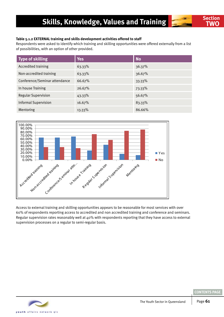## **Table 5.1.2 EXTERNAL training and skills development activities offered to staff**

Respondents were asked to identify which training and skilling opportunities were offered externally from a list of possibilities, with an option of other provided.

| <b>Type of skilling</b>       | <b>Yes</b> | <b>No</b> |
|-------------------------------|------------|-----------|
| <b>Accredited training</b>    | 63.33%     | 36.37%    |
| Non-accredited training       | 63.33%     | 36.67%    |
| Conference/Seminar attendance | 66.67%     | 33.33%    |
| In house Training             | 26.67%     | 73.33%    |
| <b>Regular Supervision</b>    | 43.33%     | 56.67%    |
| <b>Informal Supervision</b>   | 16.67%     | 83.33%    |
| Mentoring                     | 13.33%     | 86.66%    |



Access to external training and skilling opportunities appears to be reasonable for most services with over 60% of respondents reporting access to accredited and non accredited training and conference and seminars. Regular supervision rates reasonably well at 40% with respondents reporting that they have access to external supervision processes on a regular to semi-regular basis.

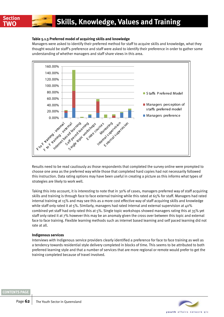## **Table 5.1.3 Preferred model of acquiring skills and knowledge**

Managers were asked to identify their preferred method for staff to acquire skills and knowledge, what they thought would be staff's preference and staff were asked to identify their preference in order to gather some understanding of whether managers and staff share views in this area.



Results need to be read cautiously as those respondents that completed the survey online were prompted to choose one area as the preferred way while those that completed hard copies had not necessarily followed this instruction. Data rating options may have been useful in creating a picture as this informs what types of strategies are likely to work well.

Taking this into account, it is interesting to note that in 30% of cases, managers preferred way of staff acquiring skills and training is through face to face external training while this rated at 65% for staff. Managers had rated internal training at 15% and may see this as a more cost effective way of staff acquiring skills and knowledge while staff only rated it at 5%. Similarly, managers had rated internal and external supervision at 40% combined yet staff had only rated this at 5%. Single topic workshops showed managers rating this at 35% yet staff only rated it at 7% however this may be an anomaly given the cross over between this topic and external face to face training. Flexible learning methods such as internet based learning and self paced learning did not rate at all.

## **Indigenous services**

Interviews with Indigenous service providers clearly identified a preference for face to face training as well as a tendency towards residential style delivery completed in blocks of time. This seems to be attributed to both preferred learning style and that a number of services that are more regional or remote would prefer to get the training completed because of travel involved.

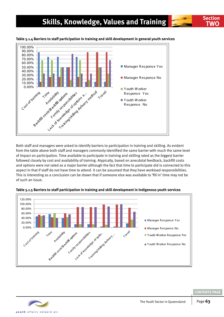## **Skills, Knowledge, Values and Training <b>TWO** Section



## **Table 5.1.4 Barriers to staff participation in training and skill development in general youth services**

Both staff and managers were asked to identify barriers to participation in training and skilling. As evident from the table above both staff and managers commonly identified the same barrier with much the same level of impact on participation. Time available to participate in training and skilling rated as the biggest barrier followed closely by cost and availability of training. Atypically, based on anecdotal feedback, backfill costs and options were not rated as a major barrier although the fact that time to participate did is connected to this aspect in that if staff do not have time to attend it can be assumed that they have workload responsibilities. This is interesting as a conclusion can be drawn that if someone else was available to 'fill in' time may not be of such an issue.



## **Table 5.1.5 Barriers to staff participation in training and skill development in Indigenous youth services**

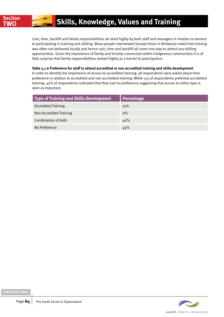Cost, time, backfill and family responsibilities all rated highly by both staff and managers in relation to barriers to participating in training and skilling. Many people interviewed (except those in Brisbane) noted that training was often not delivered locally and hence cost, time and backfill all come into play to attend any skilling opportunities. Given the importance of family and kinship connection within Indigenous communities it is of little surprise that family responsibilities ranked highly as a barrier to participation.

## **Table 5.1.6 Preference for staff to attend accredited or non accredited training and skills development**

In order to identify the importance of access to accredited training, all respondents were asked about their preference in relation to accredited and non accredited training. While 155 of respondents preferred accredited training, 45% of respondents indicated that they had no preference suggesting that access to either type is seen as important.

| Type of Training and Skills Development | Percentage |
|-----------------------------------------|------------|
| <b>Accredited Training</b>              | 15%        |
| Non Accredited Training                 | $0\%$      |
| Combination of both                     | 40%        |
| No Preference                           | 45%        |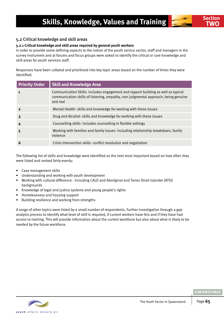## 5.2 Critical knowledge and skill areas

## **5.2.1 Critical knowledge and skill areas required by general youth workers**

In order to provide some defining aspects to the notion of the youth service sector, staff and managers in the survey instrument and at forums and focus groups were asked to identify the critical or core knowledge and skill areas for youth services staff.

Responses have been collated and prioritised into key topic areas based on the number of times they were identified.

| <b>Priority Order</b>   | <b>Skill and Knowledge Area</b>                                                                                                                                                     |
|-------------------------|-------------------------------------------------------------------------------------------------------------------------------------------------------------------------------------|
| $\mathbf{1}$            | Communication Skills- includes engagement and rapport building as well as typical<br>communication skills of listening, empathy, non judgmental approach, being genuine<br>and real |
| $\overline{\mathbf{2}}$ | Mental Health-skills and knowledge for working with these issues                                                                                                                    |
| 3                       | Drug and Alcohol- skills and knowledge for working with these issues                                                                                                                |
| 4                       | Counselling skills-includes counselling in flexible settings                                                                                                                        |
| 5                       | Working with families and family issues-including relationship breakdown, family<br>violence                                                                                        |
| 6                       | Crisis Intervention skills-conflict resolution and negotiation                                                                                                                      |

The following list of skills and knowledge were identified as the next most important based on how often they were listed and ranked fairly evenly:

- Case management skills
- Understanding and working with youth development
- Working with cultural difference including CALD and Aboriginal and Torres Strait Islander (ATSI) backgrounds
- Knowledge of legal and justice systems and young people's rights
- Homelessness and housing support
- Building resilience and working from strengths

A range of other topics were listed by a small number of respondents. Further investigation through a gap analysis process to identify what level of skill is required, if current workers have this and if they have had access to training. This will provide information about the current workforce but also about what is likely to be needed by the future workforce.

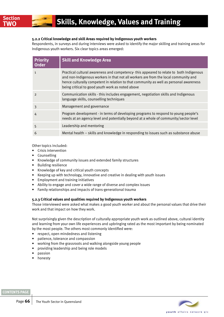## **5.2.2 Critical knowledge and skill Areas required by Indigenous youth workers**

Respondents, in surveys and during interviews were asked to identify the major skilling and training areas for Indigenous youth workers. Six clear topics areas emerged:

| <b>Priority</b><br><b>Order</b> | <b>Skill and Knowledge Area</b>                                                                                                                                                                                                                                                                                             |
|---------------------------------|-----------------------------------------------------------------------------------------------------------------------------------------------------------------------------------------------------------------------------------------------------------------------------------------------------------------------------|
| $\mathbf{1}$                    | Practical cultural awareness and competency-this appeared to relate to both Indigenous<br>and non-Indigenous workers in that not all workers are from the local community and<br>hence culturally competent in relation to that community as well as personal awareness<br>being critical to good youth work as noted above |
| $\mathcal{P}$                   | Communication skills - this includes engagement, negotiation skills and Indigenous<br>language skills, counselling techniques                                                                                                                                                                                               |
| 3                               | Management and governance                                                                                                                                                                                                                                                                                                   |
| 4                               | Program development - in terms of developing programs to respond to young people's<br>needs at an agency level and potentially beyond at a whole of community/sector level                                                                                                                                                  |
| 5                               | Leadership and mentoring                                                                                                                                                                                                                                                                                                    |
| 6                               | Mental health - skills and knowledge in responding to issues such as substance abuse                                                                                                                                                                                                                                        |

## Other topics included:

- Crisis intervention
- Counselling
- Knowledge of community issues and extended family structures
- Building resilience
- Knowledge of key and critical youth concepts
- Keeping up with technology, innovative and creative in dealing with youth issues
- Employment and training initiatives
- Ability to engage and cover a wide range of diverse and complex issues
- Family relationships and impacts of trans-generational trauma

## **5.2.3 Critical values and qualities required by Indigenous youth workers**

Those interviewed were asked what makes a good youth worker and about the personal values that drive their work and that impact on how they work.

Not surprisingly given the description of culturally appropriate youth work as outlined above, cultural identity and learning from your own life experiences and upbringing rated as the most important by being nominated by the most people. The others most commonly identified were:

- respect, open mindedness and listening
- patience, tolerance and compassion
- working from the grassroots and walking alongside young people
- providing leadership and being role models
- passion
- honesty

## **[CONTENTS PAGE](#page-2-0)**

youth affairs network gid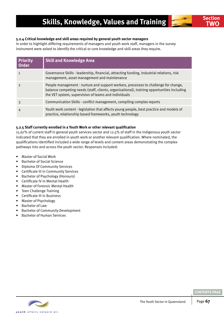

## **5.2.4 Critical knowledge and skill areas required by general youth sector managers**

In order to highlight differing requirements of managers and youth work staff, managers in the survey instrument were asked to identify the critical or core knowledge and skill areas they require.

| <b>Priority</b><br><b>Order</b> | <b>Skill and Knowledge Area</b>                                                                                                                                                                                                           |
|---------------------------------|-------------------------------------------------------------------------------------------------------------------------------------------------------------------------------------------------------------------------------------------|
|                                 | Governance Skills - leadership, financial, attracting funding, industrial relations, risk<br>management, asset management and maintenance                                                                                                 |
| $\mathcal{P}$                   | People management - nurture and support workers, processes to challenge for change,<br>balance competing needs (staff, clients, organisational), training opportunities including<br>the VET system, supervision of teams and individuals |
|                                 | Communication Skills - conflict management, compiling complex reports                                                                                                                                                                     |
| 4                               | Youth work content - legislation that affects young people, best practice and models of<br>practice, relationship based frameworks, youth technology                                                                                      |

## **5.2.5 Staff currently enrolled in a Youth Work or other relevant qualification**

15.67% of current staff in general youth services sector and 12.5% of staff in the Indigenous youth sector indicated that they are enrolled in youth work or another relevant qualification. Where nominated, the qualifications identified included a wide range of levels and content areas demonstrating the complex pathways into and across the youth sector. Responses included:

- Master of Social Work
- Bachelor of Social Science
- Diploma Of Community Services
- Certificate III in Community Services
- Bachelor of Psychology (Honours)
- Certificate IV in Mental Health
- Master of Forensic Mental Health
- Teen Challenge Training
- Certificate III in Business
- Master of Psychology
- Bachelor of Law
- Bachelor of Community Development
- Bachelor of Human Services

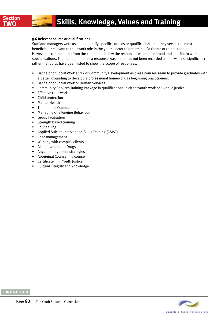## **5.6 Relevant course or qualifications**

Staff and managers were asked to identify specific courses or qualifications that they see as the most beneficial or relevant to their work role in the youth sector to determine if a theme or trend stood out. However as can be noted from the comments below the responses were quite broad and specific to work specialisations. The number of times a response was made has not been recorded as this was not significant; rather the topics have been listed to show the scope of responses.

- Bachelor of Social Work and / or Community Development as these courses seem to provide graduates with a better grounding to develop a professional framework as beginning practitioners.
- Bachelor of Social Work or Human Services
- Community Services Training Package in qualifications in either youth work or juvenile justice
- Effective case work
- Child protection
- Mental Health
- Therapeutic Communities
- Managing Challenging Behaviour
- Group facilitation
- Strength based training
- Counselling
- Applied Suicide Intervention Skills Training (ASIST)
- Case management
- Working with complex clients
- Alcohol and other Drugs
- Anger management strategies
- Aboriginal Counselling course
- Certificate III in Youth Justice
- Cultural integrity and knowledge

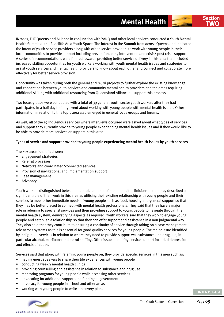In 2007, the Queensland Alliance in conjunction with YANQ and other local services conducted a Youth Mental Health Summit at the Redcliffe Area Youth Space. The interest in the Summit from across Queensland indicated the intent of youth service providers along with other service providers to work with young people in their local communities to provide support including prevention, early intervention and crisis/ post crisis support. A series of recommendations were formed towards providing better service delivery in this area that included increased skilling opportunities for youth workers working with youth mental health issues and strategies to assist youth services and mental health providers to know about each other and connect and collaborate more effectively for better service provision.

Opportunity was taken during both the general and Murri projects to further explore the existing knowledge and connections between youth services and community mental health providers and the areas requiring additional skilling with additional resourcing from Queensland Alliance to support this process.

Two focus groups were conducted with a total of 39 general youth sector youth workers after they had participated in a half day training event about working with young people with mental health issues. Other information in relation to this topic area also emerged in general focus groups and forums.

As well, all of the 19 Indigenous services where interviews occurred were asked about what types of services and support they currently provide to young people experiencing mental health issues and if they would like to be able to provide more services or support in this area.

## **Types of service and support provided to young people experiencing mental health issues by youth services**

The key areas identified were:

- Engagement strategies
- Referral processes
- Networks and coordinated/connected services
- Provision of navigational and implementation support
- Case management
- Advocacy

Youth workers distinguished between their role and that of mental health clinicians in that they described a significant role of their work in this area as utilising their existing relationship with young people and their services to meet other immediate needs of young people such as food, housing and general support so that they may be better placed to connect with mental health professionals. They said that they have a major role in referring to specialist services and then providing support to young people to navigate through the mental health system, demystifying aspects as required. Youth workers said that they work to engage young people and establish a relationship so that they can offer support and assistance in a non judgmental way. They also said that they contribute to ensuring a continuity of service through taking on a case management role across systems as this is essential for good quality services for young people. The major issue identified by Indigenous services in relation to where they need to provide support was substance and drug use, in particular alcohol, marijuana and petrol sniffing. Other issues requiring service support included depression and effects of abuse.

Services said that along with referring young people on, they provide specific services in this area such as:

- having guest speakers to share their life experiences with young people
- conducting weekly mental health clinics
- providing counselling and assistance in relation to substance and drug use
- mentoring programs for young people while accessing other services
- advocating for additional support and funding to government
- advocacy for young people in school and other areas
- working with young people to write a recovery plan.



vouth affairs network old

**Section TWO**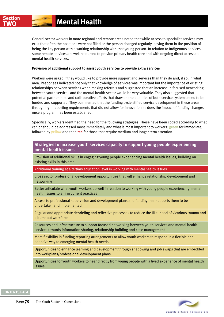General sector workers in more regional and remote areas noted that while access to specialist services may exist that often the positions were not filled or the person changed regularly leaving them in the position of being the key person with a working relationship with that young person. In relation to Indigenous services some remote services are well resourced to provide primary health care and with ongoing direct access to mental health services.

## **Provision of additional support to assist youth services to provide extra services**

Workers were asked if they would like to provide more support and services than they do and, if so, in what area. Responses indicated not only that knowledge of services was important but the importance of existing relationships between services when making referrals and suggested that an increase in focused networking between youth services and the mental health sector would be very valuable. They also suggested that potential partnerships and collaborative efforts that draw on the qualities of both service systems need to be funded and supported. They commented that the funding cycle stifled service development in these areas through tight reporting requirements that did not allow for innovation as does the impact of funding changes once a program has been established.

Specifically, workers identified the need for the following strategies. These have been coded according to what can or should be addressed most immediately and what is most important to workers: **green** for immediate, followed by **yellow** and than **red** for those that require medium and longer term attention.

## **Strategies to increase youth services capacity to support young people experiencing mental health issues**

Provision of additional skills in engaging young people experiencing mental health issues, building on existing skills in this area

Additional training at a tertiary education level in working with mental health issues

Cross sector professional development opportunities that will enhance relationship development and networking

Better articulate what youth workers do well in relation to working with young people experiencing mental health issues to affirm current practices

Access to professional supervision and development plans and funding that supports them to be undertaken and implemented

Regular and appropriate debriefing and reflective processes to reduce the likelihood of vicarious trauma and a burnt out workforce

Resources and infrastructure to support focused networking between youth services and mental health services towards information sharing, relationship building and case management

More flexibility in funding reporting arrangements to allow youth workers to respond in a flexible and adaptive way to emerging mental health needs

Opportunities to enhance learning and development through shadowing and job swaps that are embedded into workplans/professional development plans

Opportunities for youth workers to hear directly from young people with a lived experience of mental health issues.

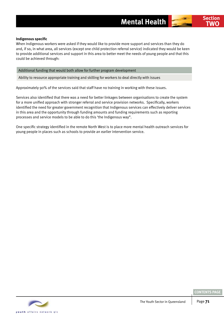When Indigenous workers were asked if they would like to provide more support and services than they do and, if so, in what area, all services (except one child protection referral service) indicated they would be keen to provide additional services and support in this area to better meet the needs of young people and that this could be achieved through:

## Additional funding that would both allow for further program development

Ability to resource appropriate training and skilling for workers to deal directly with issues

Approximately 90% of the services said that staff have no training in working with these issues.

Services also identified that there was a need for better linkages between organisations to create the system for a more unified approach with stronger referral and service provision networks. Specifically, workers identified the need for greater government recognition that Indigenous services can effectively deliver services in this area and the opportunity through funding amounts and funding requirements such as reporting processes and service models to be able to do this 'the Indigenous way".

One specific strategy identified in the remote North West is to place more mental health outreach services for young people in places such as schools to provide an earlier intervention service.



**Section TWO**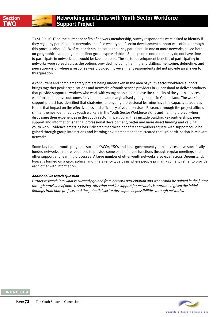

To shed light on the current benefits of network membership, survey respondents were asked to identify if they regularly participate in networks and if so what type of sector development support was offered through this process. About 80% of respondents indicated that they participate in one or more networks based both on geographical and program or client group type variables. Some people noted that they do not have time to participate in networks but would be keen to do so. The sector development benefits of participating in networks were spread across the options provided including training and skilling, mentoring, debriefing, and peer supervision where a response was provided, however many respondents did not provide an answer to this question.

A concurrent and complementary project being undertaken in the area of youth sector workforce support brings together peak organisations and networks of youth service providers in Queensland to deliver products that provide support to workers who work with young people to increase the capacity of the youth services workforce to improve outcomes for vulnerable and marginalised young people in Queensland. The workforce support project has identified that strategies for ongoing professional learning have the capacity to address issues that impact on the effectiveness and efficiency of youth services. Research through the project affirms similar themes identified by youth workers in the Youth Sector Workforce Skills and Training project when discussing their experiences in the youth sector. In particular, they include building key partnerships, peer support and information sharing, professional development, better and more direct funding and valuing youth work. Evidence emerging has indicated that these benefits that workers equate with support could be gained through group interactions and learning environments that are created through participation in relevant networks.

Some key funded youth programs such as YACCA, YSCs and local government youth services have specifically funded networks that are resourced to provide some or all of these functions through regular meetings and other support and learning processes. A large number of other youth networks also exist across Queensland, typically formed on a geographical and interagency type basis where people primarily come together to provide each other with information.

## *Additional Research Question*

*Further research into what is currently gained from network participation and what could be gained in the future through provision of more resourcing, direction and/or support for networks is warranted given the initial findings from both projects and the potential sector development possibilities through networks.* 



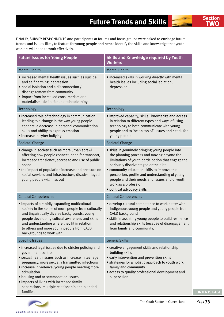FINALLY, SURVEY RESPONDENTS and participants at forums and focus groups were asked to envisage future trends and issues likely to feature for young people and hence identify the skills and knowledge that youth workers will need to work effectively.

| <b>Future Issues for Young People</b>                                                                                                                                                                                                                                                                                                                                                                     | <b>Skills and Knowledge required by Youth</b><br><b>Workers</b>                                                                                                                                                                                                                                                                                                                                        |
|-----------------------------------------------------------------------------------------------------------------------------------------------------------------------------------------------------------------------------------------------------------------------------------------------------------------------------------------------------------------------------------------------------------|--------------------------------------------------------------------------------------------------------------------------------------------------------------------------------------------------------------------------------------------------------------------------------------------------------------------------------------------------------------------------------------------------------|
| <b>Mental Health</b>                                                                                                                                                                                                                                                                                                                                                                                      | <b>Mental Health</b>                                                                                                                                                                                                                                                                                                                                                                                   |
| · increased mental health issues such as suicide<br>and self harming, depression<br>• social isolation and a disconnection /<br>disengagement from community<br>• impact from increased consumerism and<br>materialism- desire for unattainable things                                                                                                                                                    | · increased skills in working directly with mental<br>health issues including social isolation,<br>depression                                                                                                                                                                                                                                                                                          |
| Technology                                                                                                                                                                                                                                                                                                                                                                                                | Technology                                                                                                                                                                                                                                                                                                                                                                                             |
| • increased role of technology in communication<br>leading to a change in the way young people<br>connect, a decrease in personal communication<br>skills and ability to express emotion<br>• increase in cyber bullying                                                                                                                                                                                  | • improved capacity, skills, knowledge and access<br>in relation to different types and ways of using<br>technology to both communicate with young<br>people and to 'be on top of' issues and needs for<br>young people                                                                                                                                                                                |
| <b>Societal Change</b>                                                                                                                                                                                                                                                                                                                                                                                    | <b>Societal Change</b>                                                                                                                                                                                                                                                                                                                                                                                 |
| • change in society such as more urban sprawl<br>affecting how people connect, need for transport,<br>increased transience, access to and use of public<br>space<br>• the impact of population increase and pressure on<br>social services and infrastructure, disadvantaged<br>young people will miss out                                                                                                | · skills in genuinely bringing young people into<br>the planning process and moving beyond the<br>limitations of youth participation that engage the<br>seriously disadvantaged or the elite<br>• community education skills to improve the<br>perception, profile and understanding of young<br>people and their needs and issues and of youth<br>work as a profession<br>· political advocacy skills |
| <b>Cultural Competencies</b>                                                                                                                                                                                                                                                                                                                                                                              | <b>Cultural Competencies</b>                                                                                                                                                                                                                                                                                                                                                                           |
| · impacts of a rapidly expanding multicultural<br>society in the sense of more people from culturally<br>and linguistically diverse backgrounds, young<br>people developing cultural awareness and skills<br>and understanding where they fit in relation<br>to others and more young people from CALD<br>backgrounds to work with                                                                        | · develop cultural competence to work better with<br>Indigenous young people and young people from<br>CALD background<br>· skills in assisting young people to build resilience<br>and relationship skills because of disengagement<br>from family and community.                                                                                                                                      |
| <b>Specific Issues</b>                                                                                                                                                                                                                                                                                                                                                                                    | <b>Generic Skills</b>                                                                                                                                                                                                                                                                                                                                                                                  |
| · increased legal issues due to stricter policing and<br>government control<br>· sexual health issues such as increase in teenage<br>pregnancy, more sexually transmitted infections<br>· increase in violence, young people needing more<br>stimulation<br>• housing and accommodation issues<br>· impacts of living with increased family<br>separations, multiple relationship and blended<br>families | • creative engagement skills and relationship<br>building skills<br>• early intervention and prevention skills<br>• strategies for a holistic approach to youth work,<br>family and community<br>· access to quality professional development and<br>supervision                                                                                                                                       |



**Section TWO**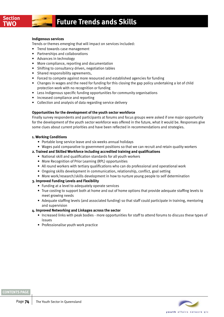## **FUTURE FUTURE TREADS AND SKILLS**

#### **Indigenous services**

Trends or themes emerging that will impact on services included:

- Trend towards case management
- Partnerships and collaborations
- Advances in technology
- More compliance, reporting and documentation
- Shifting to consultancy driven, negotiation tables
- Shared responsibility agreements,
- Forced to compete against more resourced and established agencies for funding
- Changes in wages and the need for funding for this closing the gap policy undertaking a lot of child protection work with no recognition or funding
- Less Indigenous specific funding opportunities for community organisations
- Increased compliance and reporting
- Collection and analysis of data regarding service delivery

#### **Opportunities for the development of the youth sector workforce**

Finally survey respondents and participants at forums and focus groups were asked if one major opportunity for the development of the youth sector workforce was offered in the future, what it would be. Responses give some clues about current priorities and have been reflected in recommendations and strategies.

#### **1. Working Conditions**

- Portable long service leave and six weeks annual holidays
- Wages paid comparative to government positions so that we can recruit and retain quality workers

#### **2. Trained and Skilled Workforce including accredited training and qualifications**

- National skill and qualification standards for all youth workers
- More Recognition of Prior Learning (RPL) opportunities
- All round workers with tertiary qualifications who can do professional and operational work
- Ongoing skills development in communication, relationship, conflict, goal setting
- More work/research/skills development in how to nurture young people to self determination

#### **3. Improved Funding Levels and Flexibility**

- Funding at a level to adequately operate services
- True costing to support both at home and out of home options that provide adequate staffing levels to meet growing needs
- Adequate staffing levels (and associated funding) so that staff could participate in training, mentoring and supervision

#### **4. Improved Networking and Linkages across the sector**

- Increased links with peak bodies more opportunities for staff to attend forums to discuss these types of issues
- Professionalise youth work practice



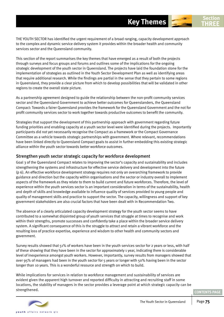The youth sector has identified the urgent requirement of a broad ranging, capacity development approach to the complex and dynamic service delivery system it provides within the broader health and community services sector and the Queensland community.

This section of the report summarises the key themes that have emerged as a result of both the projects through surveys and focus groups and forums and outlines some of the implications for the ongoing strategic development of the youth sector in Queensland. The projects have laid the foundation stone for the implementation of strategies as outlined in the Youth Sector Development Plan as well as identifying areas that require additional research. While the findings are partial in the sense that they pertain to some regions in Queensland, they provide a clear picture from which to develop possibilities that will be validated in other regions to create the overall state picture.

As a partnership agreement designed to guide the relationship between the non-profit community services sector and the Queensland Government to achieve better outcomes for Queenslanders, the Queensland Compact: Towards a fairer Queensland provides the framework for the Queensland Government and the not for profit community services sector to work together towards productive outcomes to benefit the community.

Strategies that support the development of this partnership approach with government regarding future funding priorities and enabling capacity at a youth sector level were identified during the projects. Importantly participants did not yet necessarily recognise the Compact as a framework or the Compact Governance Committee as a vehicle towards strategic partnerships with government. Where relevant, recommendations have been linked directly to Queensland Compact goals to assist in further embedding this existing strategic alliance within the youth sector towards better workforce outcomes.

#### Strengthen youth sector strategic capacity for workforce development

Goal 3 of the Queensland Compact relates to improving the sector's capacity and sustainability and includes strengthening the systems and infrastructure for effective service delivery and development into the future (p 6). An effective workforce development strategy requires not only an overarching framework to provide guidance and direction but the capacity within organisations and the sector or industry overall to implement aspects of the framework as they relate to them to build current and future workforces. Therefore, the level of experience within the youth services sector is an important consideration in terms of the sustainability, health and depth of skills and knowledge available to influence quality of services provided to young people and quality of management skills and practice to support the sector. The capacity, willingness and support of key government stakeholders are also crucial factors that have been dealt with in Recommendation Two.

The absence of a clearly articulated capacity development strategy for the youth sector seems to have contributed to a somewhat disjointed group of youth services that struggle at times to recognise and work within their strengths, promote successes and confidently take a place within the broader service delivery system. A significant consequence of this is the struggle to attract and retain a vibrant workforce and the resulting loss of practice expertise, experience and wisdom to other health and community sectors and government.

Survey results showed that 51% of workers have been in the youth services sector for 2 years or less, with half of these showing that they have been in the sector for approximately 1 year, indicating there is considerable level of inexperience amongst youth workers. However, importantly, survey results from managers showed that over 95% of managers had been in the youth sector for 5 years or longer with 50% having been in the sector longer than 10 years. This is a wonderful resource and strength on which to build.

While implications for services in relation to workforce management and sustainability of services are evident given the apparent high turnover and reported difficulty in attracting and recruiting staff in some locations, the stability of managers in the sector provides a leverage point at which strategic capacity can be strengthened.

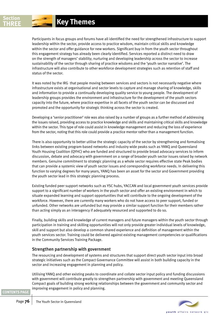Participants in focus groups and forums have all identified the need for strengthened infrastructure to support leadership within the sector, provide access to practice wisdom, maintain critical skills and knowledge within the sector and offer guidance for new workers. Significant buy in from the youth sector throughout this engagement strategy has already been clearly identified. Services reported a distinct need to draw on the strength of managers' stability; nurturing and developing leadership across the sector to increase sustainability of the sector through sharing of practice wisdoms and the 'youth sector narrative'. The infrastructure will also contribute to other workforce development strategies such as retention of staff and status of the sector.

It was noted by the IRG that people moving between services and sectors is not necessarily negative where infrastructure exists at organisational and sector levels to capture and manage sharing of knowledge, skills and information to provide a continually developing quality service to young people. The development of leadership groups provides the environment and infrastructure for the development of the youth sectors capacity into the future, where practice expertise in all facets of the youth sector can be discussed and promoted and the opportunity for strategic thinking across the sector is created.

Developing a 'senior practitioner' role was also raised by a number of groups as a further method of addressing the issues raised, providing access to practice knowledge and skills and maintaining critical skills and knowledge within the sector. This type of role could assist in knowledge management and reducing the loss of experience from the sector, noting that this role could provide a practice mentor rather than a management function.

There is also opportunity to better utilise the strategic capacity of the sector by strengthening and formalising links between existing program-based networks and industry wide peaks such as YANQ and Queensland Youth Housing Coalition (QYHC) who are funded and structured to provide broad advocacy services to inform discussion, debate and advocacy with government on a range of broader youth sector issues raised by network members. Genuine commitment to strategic planning as a whole sector requires effective state Peak bodies that can provide a systemic view of youth sector issues and corresponding workforce needs. In delivering this function to varying degrees for many years, YANQ has been an asset for the sector and Government providing the youth sector lead in this strategic planning process.

Existing funded peer support networks such as YSC hubs, YACCAN and local government youth services provide support to a significant number of workers in the youth sector and offer an existing environment in which to situate expanded learning and support opportunities that will contribute to the ongoing development of the workforce. However, there are currently many workers who do not have access to peer support, funded or unfunded. Other networks are unfunded but may provide a similar support function for their members rather than acting simply as an interagency if adequately resourced and supported to do so.

Finally, building skills and knowledge of current managers and future managers within the youth sector through participation in training and skilling opportunities will not only provide greater individual levels of knowledge, skill and support but also develop a common shared experience and definition of management within the youth services sector. Training could be delivered against existing management competencies or qualifications in the Community Services Training Package.

### Strengthen partnership with government

The resourcing and development of systems and structures that support direct youth sector input into broad strategic initiatives such as the Compact Governance Committee will assist in both building capacity in the sector and increasing engagement in planning and policy.

Utilising YANQ and other existing peaks to coordinate and collate sector input policy and funding discussions with government will contribute greatly to strengthen partnership with government and meeting Queensland Compact goals of building strong working relationships between the government and community sector and improving engagement in policy and planning.

youth affairs network gid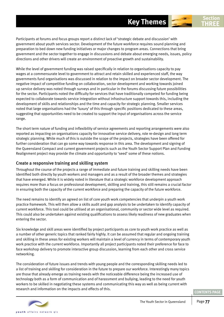Participants at forums and focus groups report a distinct lack of 'strategic debate and discussion' with government about youth services sector. Development of the future workforce requires sound planning and preparation to bed down new funding initiatives or major changes to program areas. Connections that bring government and the sector together to engage in discussions and debate about emerging needs, issues, policy directions and other drivers will create an environment of proactive growth and sustainability.

While the level of government funding was raised specifically in relation to organisations capacity to pay wages at a commensurate level to government to attract and retain skilled and experienced staff, the way governments fund organisations was discussed in relation to the impact on broader sector development. The negative impact of competitive funding on collaboration, sector development and working towards joined up service delivery was noted through surveys and in particular in the forums discussing future possibilities for the sector. Participants noted the difficulty for services that have traditionally competed for funding being expected to collaborate towards service integration without infrastructure support towards this, including the development of skills and relationships and the time and capacity for strategic planning. Smaller services noted that large organisations had the 'luxury' of this through specific positions dedicated to these areas, suggesting that opportunities need to be created to support the input of organisations across the service range.

The short term nature of funding and inflexibility of service agreements and reporting arrangements were also reported as impacting on organisations capacity for innovative service delivery, role re-design and long term strategic planning. While much of this is outside the scope of the projects, strategies have been offered for further consideration that can go some way towards response in this area. The development and signing of the Queensland Compact and current government projects such as the Youth Sector Support Plan and Funding Realignment project may provide the climate and opportunity to 'seed' some of these notions.

#### Create a responsive training and skilling system

Throughout the course of the projects a range of immediate and future training and skilling needs have been identified both directly by youth workers and managers and as a result of the broader themes and strategies that have emerged. While it is widely noted in literature that a strategic workforce development approach requires more than a focus on professional development, skilling and training, this still remains a crucial factor in ensuring both the capacity of the current workforce and preparing the capacity of the future workforce.

The need remains to identify an agreed on list of core youth work competencies that underpin a youth work practice framework. This will then allow a skills audit and gap analysis to be undertaken to identify capacity of current workforce. This tool could be utilised at an organisational, community or sector wide level as required. This could also be undertaken against existing qualifications to assess likely readiness of new graduates when entering the sector.

Six knowledge and skill areas were identified by project participants as core to youth work practice as well as a number of other generic topics that ranked fairly highly. It can be assumed that regular and ongoing training and skilling in these areas for existing workers will maintain a level of currency in terms of contemporary youth work practice with the current workforce. Importantly all project participants noted their preference for face to face workshop delivery to promote interactive group discussion, learning from each other and cross service networking.

The consideration of future issues and trends with young people and the corresponding skilling needs led to a list of training and skilling for consideration in the future to prepare our workforce. Interestingly many topics are those that already emerge as training needs with the noticeable difference being the increased use of technology both as a form of communication and of harassment and bullying, leading to the need for youth workers to be skilled in negotiating these systems and communicating this way as well as being current with research and information on the impacts and effects of this.



**THREE**

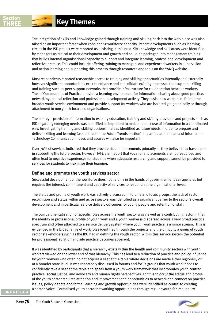The integration of skills and knowledge gained through training and skilling back into the workplace was also raised as an important factor when considering workforce capacity. Recent developments such as learning circles in the ISD project were reported as assisting in this area. Six knowledge and skill areas were identified by managers as critical to their development and growth and could be packaged into management training that builds internal organisational capacity to support and integrate learning, professional development and reflective practice. This could include offering training to managers and experienced workers in supervision and action learning and supporting this process through resources and tools on the YANQ website.

Most respondents reported reasonable access to training and skilling opportunities internally and externally however significant opportunities exist to enhance and consolidate existing processes that support skilling and training such as peer support networks that provide infrastructure for collaboration between workers. These 'Communities of Practice' provide a learning environment for information-sharing about good practice, networking, critical reflection and professional development activity. They assist new workers to fit into the broader youth service environment and provide support for workers who are isolated geographically or through attachment to non youth-focussed organisations.

The strategic provision of information to existing education, training and skilling providers and projects such as ISD regarding emerging needs was identified as important to make the best use of information in a coordinated way. Investigating training and skilling options in areas identified as future needs in order to prepare and deliver skilling and learning (as outlined in the Future Trends section), in particular in the area of Information Technology Communication - uses and abuses will also be important.

Over 70% of services indicated that they provide student placements primarily as they believe they have a role in supporting the future sector. However TAFE staff report that vocational placements are not resourced and often lead to negative experiences for students when adequate resourcing and support cannot be provided to services for students to maximise their learning.

### Define and promote the youth services sector

Successful development of the workforce does not lie only in the hands of government or peak agencies but requires the interest, commitment and capacity of services to respond at the organisational level.

The status and profile of youth work was actively discussed in forums and focus groups, the lack of sector recognition and status within and across sectors was identified as a significant barrier to the sector's overall development and in particular service delivery outcomes for young people and retention of staff.

The compartmentalisation of specific roles across the youth sector was viewed as a contributing factor in that the identity or professional profile of youth work and a youth worker is dispersed across a very broad practice spectrum and often attached to a service delivery system where youth work practice is a minor stream. This is evidenced in the broad range of work roles identified through the projects and the difficulty a group of youth sector stakeholders such as the IRG had in defining the youth sector. Within this service system the potential for professional isolation and silo practice becomes apparent.

It was identified by participants that a hierarchy exists within the health and community sectors with youth workers viewed on the lower end of that hierarchy. This has lead to a reduction of practice and policy influence by youth workers who often do not acquire a seat at the table where decisions are made either regionally or at a broader state level. It was repeatedly discussed in forums and focus groups that youth work needs to confidently take a seat at the table and speak from a youth work framework that incorporates youth centred practice, social justice, and advocacy and human rights perspectives. For this to occur the status and profile of the youth sector requires attention and improvement and opportunities to network and connect on practice issues, policy debate and formal learning and growth opportunities were identified as central to creating a sector 'voice'. Formalised youth sector networking opportunities through regular youth forums, policy

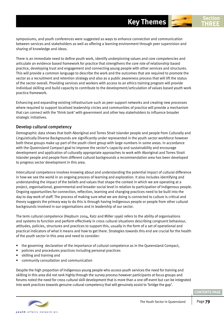symposiums, and youth conferences were suggested as ways to enhance connection and communication between services and stakeholders as well as offering a learning environment through peer supervision and sharing of knowledge and ideas.

There is an immediate need to define youth work, identify underpinning values and core competencies and articulate an evidence based framework for practice that strengthens the core role of relationship based practice, developing trust and engagement and connecting young people with other services and structures. This will provide a common language to describe the work and the outcomes that are required to promote the sector as a recruitment and retention strategy and also as a public awareness process that will lift the status of the sector overall. Providing services and workers with access to an ethics training program will provide individual skilling and build capacity to contribute to the development/articulation of values based youth work practice framework.

Enhancing and expanding existing infrastructure such as peer support networks and creating new processes where required to support localised leadership circles and communities of practice will provide a mechanism that can connect with the 'think tank' with government and other key stakeholders to influence broader strategic initiatives.

#### Develop cultural competency

Demographic data shows that both Aboriginal and Torres Strait Islander people and people from Culturally and Linguistically Diverse Backgrounds are significantly under represented in the youth sector workforce however both these groups make up part of the youth client group with large numbers in some areas. In accordance with the Queensland Compact goal to improve the sector's capacity and sustainability and encourage development and application of culturally appropriate approaches to work with Aboriginal and Torres Strait Islander people and people from different cultural backgrounds a recommendation area has been developed to progress sector development in this area.

Intercultural competence involves knowing about and understanding the potential impact of cultural difference in how we see the world in an ongoing process of learning and exploration. It also includes identifying and understanding the impact of the beliefs and values that shape the context in which we are operating at a project, organisational, governmental and broader social level in relation to participation of Indigenous people. Ongoing opportunities for connection, reflection, learning and changing practices need to be built into the day to day work of staff. The process of making sure what we are doing is connected to culture is critical and theory suggests the primary way to do this is through having Indigenous people or people from other cultural backgrounds involved in our organisations and in leadership of our sector.

The term cultural competence (Hepburn 2004, Katz and Miller 1996) refers to the ability of organisations and systems to function and perform effectively in cross cultural situations describing congruent behaviour, attitudes, policies, structures and practices to support this, usually in the form of a set of operational and practical indicators of what it means and how to get there. Strategies towards this end are crucial for the health of the youth sector in this area and need to consider:

- the governing declaration of the importance of cultural competence as in the Queensland Compact,
- policies and procedures practices including personal practices
- skilling and training and
- community consultation and communication

Despite the high proportion of Indigenous young people who access youth services the need for training and skilling in this area did not rank highly through the survey process however participants at focus groups and forums noted the need for cross cultural skill development that is more than a one off event but can be integrated into work practices towards genuine cultural competency that will genuinely assist to 'bridge the gap'.



**THREE**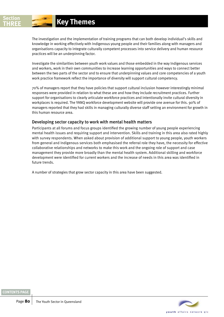The investigation and the implementation of training programs that can both develop individual's skills and knowledge in working effectively with Indigenous young people and their families along with managers and organisations capacity to integrate culturally competent processes into service delivery and human resource practices will be an underpinning factor.

Investigate the similarities between youth work values and those embedded in the way Indigenous services and workers, work in their own communities to increase learning opportunities and ways to connect better between the two parts of the sector and to ensure that underpinning values and core competencies of a youth work practice framework reflect the importance of diversity will support cultural competency.

70% of managers report that they have policies that support cultural inclusion however interestingly minimal responses were provided in relation to what these are and how they include recruitment practices. Further support for organisations to clearly articulate workforce practices and intentionally invite cultural diversity in workplaces is required. The YANQ workforce development website will provide one avenue for this. 90% of managers reported that they had skills in managing culturally diverse staff setting an environment for growth in this human resource area.

### Developing sector capacity to work with mental health matters

Participants at all forums and focus groups identified the growing number of young people experiencing mental health issues and requiring support and intervention. Skills and training in this area also rated highly with survey respondents. When asked about provision of additional support to young people, youth workers from general and Indigenous services both emphasised the referral role they have, the necessity for effective collaborative relationships and networks to make this work and the ongoing role of support and case management they provide more broadly than the mental health system. Additional skilling and workforce development were identified for current workers and the increase of needs in this area was identified in future trends.

A number of strategies that grow sector capacity in this area have been suggested.

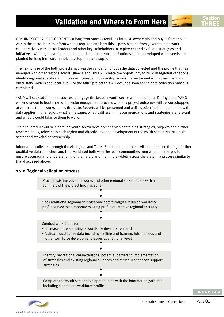## **Validation and Where to From Here**

GENUINE SECTOR DEVELOPMENT is a long term process requiring interest, ownership and buy in from those within the sector both to inform what is required and how this is possible and from government to work collaboratively with sector leaders and other key stakeholders to implement and evaluate strategies and initiatives. Working in partnership, short and medium term contributions can be developed while seeds are planted for long term sustainable development and support.

The next phase of the both projects involves the validation of both the data collected and the profile that has emerged with other regions across Queensland. This will create the opportunity to build in regional variations, identify regional specifics and increase interest and ownership across the sector and with government and other stakeholders at a local level. For the Murri project this will occur as soon as the data collection phase is completed.

YANQ will seek additional resources to engage the broader youth sector with this project. During 2010, YANQ will endeavour to lead a 12month sector engagement process whereby project outcomes will be workshopped at youth sector networks across the state. Reports will be presented and a discussion facilitated about how the data applies in this region, what is the same, what is different, if recommendations and strategies are relevant and what it would take for them to work.

The final product will be a detailed youth sector development plan containing strategies, projects and further research areas, relevant to each region and directly linked to development of the youth sector that has high sector and stakeholder ownership.

Information collected through the Aboriginal and Torres Strait Islander project will be enhanced through further qualitative data collection and then validated both with the local communities from where it emerged to ensure accuracy and understanding of their story and then more widely across the state in a process similar to that discussed above.

### 2010 Regional validation process





**Section THREE**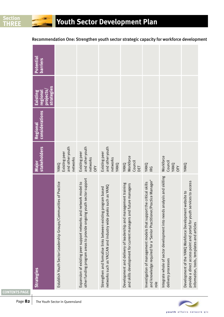| <b>Strategies</b>                                                                                                                                                               | stakeholders<br>Major                                     | considerations<br>Regional | strategies<br>projects<br>regional<br>Existing | Potential<br><b>barriers</b> |                                                                                          |
|---------------------------------------------------------------------------------------------------------------------------------------------------------------------------------|-----------------------------------------------------------|----------------------------|------------------------------------------------|------------------------------|------------------------------------------------------------------------------------------|
| Establish Youth Sector Leadership Groups/Communities of Practice                                                                                                                | and other youth<br>Existing peer<br>networks<br>YANQ      |                            |                                                |                              | Recommendation One: Strengthen youth sector strategic capacity for workforce development |
| other funding program areas to provide ongoing youth sector support<br>Expansion of existing peer support networks and network model to                                         | and other youth<br>Existing peer<br>networks<br><b>PR</b> |                            |                                                |                              |                                                                                          |
| such as YANQ<br>Strengthen and formalise links between existing program based<br>networks such as YACCAN and industry wide peaks                                                | and other youth<br>Existing peer<br>networks<br>YANQ      |                            |                                                |                              |                                                                                          |
| Development and delivery of leadership and management training<br>and skills development for current managers and future managers                                               | Workforce<br>Council<br>YANQ<br>DET                       |                            |                                                |                              |                                                                                          |
| and knowledge required for a 'Senior Practitioner/Practice Manager'<br>Investigation of management models that support the critical skills<br>role                              | YANQ<br>IRG                                               |                            |                                                |                              |                                                                                          |
| Integrate whole of sector development into needs analysis and skilling<br>delivery processes                                                                                    | Workforce<br>Council<br>YANQ<br><b>OFY</b>                |                            |                                                |                              |                                                                                          |
| provide a direct access point and portal for youth services to access<br>Development of the YANQ Workforce Development website to<br>information, tools, templates and articles | YANQ                                                      |                            |                                                |                              |                                                                                          |
|                                                                                                                                                                                 |                                                           |                            |                                                |                              |                                                                                          |



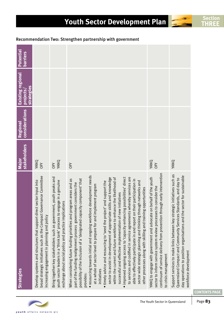| <b>Strategies</b>                                                                                                                                                                                                                                                                                                                                                     | <b>stakeholders</b><br>Major | considerations<br><b>Regional</b> | <b>Existing regional</b><br>strategies<br>projects | <b>Potential</b><br>barriers |
|-----------------------------------------------------------------------------------------------------------------------------------------------------------------------------------------------------------------------------------------------------------------------------------------------------------------------------------------------------------------------|------------------------------|-----------------------------------|----------------------------------------------------|------------------------------|
| broad strategic initiatives such as the Compact Governance Committee<br>Develop systems and structures that support direct sector input into<br>increasing engagement in planning and policy                                                                                                                                                                          | YANQ<br><b>OFY</b>           |                                   |                                                    |                              |
| Bring together key stakeholders such as government, youth peaks and<br>engage in a genuine<br>exchange about social policy and practice implications<br>youth sector leaders in a 'think tank' process to                                                                                                                                                             | OFY<br>YANQ                  |                                   |                                                    |                              |
| When considering future funding priorities and program areas and as<br>possibility of the inclusion of a 'designated capacity component' that<br>part of the funding realignment process government considers the<br>provides:                                                                                                                                        | OFY                          |                                   |                                                    |                              |
| · resourcing towards initial and ongoing workforce development needs<br>at a whole of sector level to prepare for and implement program<br>initiatives                                                                                                                                                                                                                |                              |                                   |                                                    |                              |
| sector to assist in development of appropriate skills and knowledge<br>within the current and future workforce to enhance the likelihood of<br>. timely advice and resourcing to 'seed the project' and support the<br>successful and effective implementation of new initiatives                                                                                     |                              |                                   |                                                    |                              |
| . improved ongoing access to 'capacity enhancing possibilities' direct<br>to services and codified in service agreements whereby services are<br>their participation in<br>sector wide strategic planning and thinking through networks and<br>g opportunities<br>able to effectively participate in and report on<br>other processes along with skilling and trainin |                              |                                   |                                                    |                              |
| continuum of service delivery from prevention through early intervention<br>on behalf of the youth<br>sector to inform service system review processes to consider the<br>YANQ to engage with government and advocate<br>to crisis management                                                                                                                         | YANQ<br>OFY                  |                                   |                                                    |                              |
| Support services to make links between key strategic initiatives such as<br>day operations to position organisations and the sector for sustainable<br>Queensland Compact and Community Services Standards, and day to<br>workforce development                                                                                                                       | YANQ                         |                                   |                                                    |                              |

# **Youth Sector Development Plan THREE**

Recommendation Two: Strengthen partnership with government

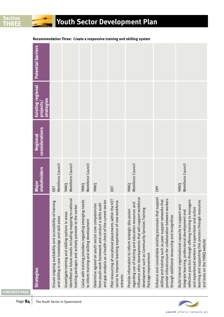|                                             |                                                                                                             |                                                                                                                                                                        |                                                                                                        |                                                                                                                                                                        |                                                                                                                                | Recommendation Three: Create a responsive training and skilling system                                                                                                                                                                            |                                                                                                                                                                                                                                     |                                                                                                                                                                                                                                                                                                                        |
|---------------------------------------------|-------------------------------------------------------------------------------------------------------------|------------------------------------------------------------------------------------------------------------------------------------------------------------------------|--------------------------------------------------------------------------------------------------------|------------------------------------------------------------------------------------------------------------------------------------------------------------------------|--------------------------------------------------------------------------------------------------------------------------------|---------------------------------------------------------------------------------------------------------------------------------------------------------------------------------------------------------------------------------------------------|-------------------------------------------------------------------------------------------------------------------------------------------------------------------------------------------------------------------------------------|------------------------------------------------------------------------------------------------------------------------------------------------------------------------------------------------------------------------------------------------------------------------------------------------------------------------|
| <b>Potential barriers</b>                   |                                                                                                             |                                                                                                                                                                        |                                                                                                        |                                                                                                                                                                        |                                                                                                                                |                                                                                                                                                                                                                                                   |                                                                                                                                                                                                                                     |                                                                                                                                                                                                                                                                                                                        |
| Existing regional<br>strategies<br>projects |                                                                                                             |                                                                                                                                                                        |                                                                                                        |                                                                                                                                                                        |                                                                                                                                |                                                                                                                                                                                                                                                   |                                                                                                                                                                                                                                     |                                                                                                                                                                                                                                                                                                                        |
| considerations<br><b>Regional</b>           |                                                                                                             |                                                                                                                                                                        |                                                                                                        |                                                                                                                                                                        |                                                                                                                                |                                                                                                                                                                                                                                                   |                                                                                                                                                                                                                                     |                                                                                                                                                                                                                                                                                                                        |
| stakeholders<br>Major                       | Workforce Council<br>БŪ                                                                                     | Workforce Council<br>YANQ                                                                                                                                              | YANQ<br>Workforce Council                                                                              | YANQ                                                                                                                                                                   | DET                                                                                                                            | Workforce Council<br>YANQ                                                                                                                                                                                                                         | <b>OFY</b>                                                                                                                                                                                                                          | Workforce Council<br>YANQ                                                                                                                                                                                                                                                                                              |
| <b>Strategies</b>                           | Ensure ongoing availability and accessibility of training<br>and skilling in core knowledge and skill areas | identified as future needs including mapping to national<br>training packages and actively promote to the sector<br>Investigate training and skilling options in areas | Liaise with training providers regarding emerging needs<br>to inform training and skilling development | and gap analysis as a health check of the current sector<br>Determine agreed on youth sector core competencies<br>from youth work framework and conduct a skills audit | Pilot resourcing of vocational placements within the VET<br>sector to improve learning experience of new workforce<br>entrants | influence other developments that will support workforce<br>regarding use of training and education resources and<br>development such as Community Services Training<br>Provide information to inform strategic discussion<br>Package improvement | Enhance and consolidate existing processes that support<br>provide infrastructure for collaboration between workers<br>that<br>skilling and training such as peer support networks<br>through additional resourcing and recognition | reflective practice through offering training to managers<br>learning and supporting this process through resources<br>Build internal organisational capacity to support and<br>and experienced workers in supervision and action<br>integrate learning, professional development and<br>and tools on the YANQ website |

**Youth Sector Development Plan**

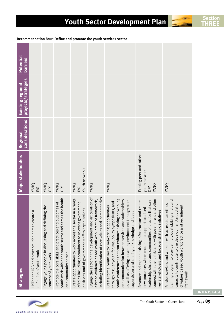| <b>Strategies</b>                                                                                                                                                                                                                                                                                                                         | Major stakeholders                                             | considerations<br><b>Regional</b> | Existing regional<br>projects/strategies | Potential<br>barriers |
|-------------------------------------------------------------------------------------------------------------------------------------------------------------------------------------------------------------------------------------------------------------------------------------------------------------------------------------------|----------------------------------------------------------------|-----------------------------------|------------------------------------------|-----------------------|
| Utilise the IRG and other stakeholders to create a<br>definition of youth work                                                                                                                                                                                                                                                            | YANQ<br>IRG                                                    |                                   |                                          |                       |
| the<br>Engage young people in discussing and defining<br>concept of youth work                                                                                                                                                                                                                                                            | YANQ<br>OFY                                                    |                                   |                                          |                       |
| youth work within the youth sector and across the health<br>Promote the core skills and practices and outcomes of<br>and community sector                                                                                                                                                                                                 | YANQ<br>OFY                                                    |                                   |                                          |                       |
| a range<br>of roles including secondment to relevant government<br>positions and of government staff to organisations<br>Create opportunities to work across the sector in                                                                                                                                                                | Youth networks<br>YANQ<br>IRG                                  |                                   |                                          |                       |
| including identification of core values and competencies<br>Engage the sector in the development and articulation of<br>a broad evidence based youth work practice framework,                                                                                                                                                             | YANQ                                                           |                                   |                                          |                       |
| youth conferences that can enhance existing networking<br>and communication between services and stakeholders<br>as well as offering a learning environment through peer<br>Create formal youth sector networking opportunities<br>through regular youth forums, policy symposiums, and<br>supervision and sharing of knowledge and ideas | YANQ                                                           |                                   |                                          |                       |
| connect with the 'think tank' with government and other<br>leadership circles and communities of practice that can<br>create<br>new processes where required to support localised<br>key stakeholders and broader strategic initiatives<br>Resource and expand existing infrastructure and                                                | Existing peer and other<br>youth network<br>YANQ<br><b>OFY</b> |                                   |                                          |                       |
| training program to provide individual skilling and build<br>capacity to contribute to the development/articulation<br>Provide services and workers with access to an ethics<br>of values based youth work practice and recruitment<br>framework                                                                                          | YANQ                                                           |                                   |                                          |                       |

# **Youth Sector Development Plan THREE**

 **Recommendation Four: Define and promote the youth services sector**



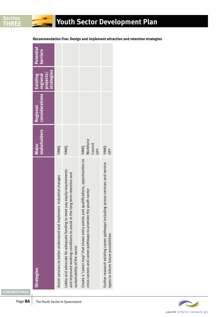| <b>Strategies</b>                                                                                                                                                                       | stakeholders<br>Major               | considerations regional<br>Regional | <b>strategies</b><br>projects/<br>Existing | <b>Potential</b><br><b>barriers</b> |
|-----------------------------------------------------------------------------------------------------------------------------------------------------------------------------------------|-------------------------------------|-------------------------------------|--------------------------------------------|-------------------------------------|
| Assist services to better understand and implement industrial changes                                                                                                                   | YANQ                                |                                     |                                            |                                     |
| Lobby and advocate for adequate funding to meet pay equity requirements<br>e long term retention and<br>and improved working conditions to assist in th<br>sustainability of the sector | YANQ                                |                                     |                                            |                                     |
| Create a 'career map' that shows entry points and qualifications, opportunities to<br>cross sectors and career pathways to promote the youth sector                                     | Workforce<br>Council<br>YANQ<br>OFY |                                     |                                            |                                     |
| Further research existing career pathways including across services and service<br>types to inform future possibilities                                                                 | YANQ<br><b>OFY</b>                  |                                     |                                            |                                     |

**Recommendation Five: Design and implement attraction and retention strategies**



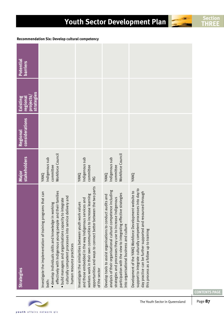|                                                                                                                                                                                                                                                                                                                                            | Major<br>stakeholders                                    | <b>considerations</b><br>Regional | strategies<br>projects,<br>regional<br>Existing | <b>Potential</b><br>barriers                    |
|--------------------------------------------------------------------------------------------------------------------------------------------------------------------------------------------------------------------------------------------------------------------------------------------------------------------------------------------|----------------------------------------------------------|-----------------------------------|-------------------------------------------------|-------------------------------------------------|
| effectively with Indigenous young people and their families<br>s that can<br>culturally competent processes into service delivery and<br>build managers and organisations capacity to integrate<br>· develop individuals skills and knowledge in working<br>Investigate the implementation of training program<br>human resource practices | Workforce Council<br>Indigenous sub<br>committee<br>YANQ |                                   |                                                 | Recommendation Six: Develop cultural competency |
| the two parts<br>workers work in their own communities to increase learning<br>and those embedded in the way Indigenous services and<br>Investigate the similarities between youth work values<br>opportunities and ways to connect better between                                                                                         | Indigenous sub<br>committee<br>YANQ<br>IRG               |                                   |                                                 |                                                 |
| analysis of their organisational cultural competence including<br>participation with the view to integrating effective strategies<br>Develop tools to assist organisations to conduct audits and<br>strategies and processes they use to increase Indigenous<br>into organisational business and culture                                   | Workforce Council<br>Indigenous sub<br>committee<br>YANQ |                                   |                                                 |                                                 |
| support to integrate culturally competent processes into day to<br>Development of the YANQ Workforce Development website to<br>day practice can be further supported and resourced through<br>this process as a follow up to training                                                                                                      | YANQ                                                     |                                   |                                                 |                                                 |

# **Youth Sector Development Plan Section Section**

 **Recommendation Six: Develop cultural competency**

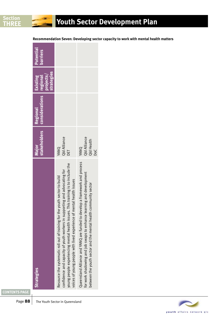| <b>Strategies</b>                                                                                                                                                                                                                                                                                                  | stakeholders<br>Major                     | considerations regional<br><b>Regional</b> | <b>strategies</b><br>projects/<br>Existing | Potential<br><b>barriers</b> |
|--------------------------------------------------------------------------------------------------------------------------------------------------------------------------------------------------------------------------------------------------------------------------------------------------------------------|-------------------------------------------|--------------------------------------------|--------------------------------------------|------------------------------|
| young people experiencing mental health issues. This training is to include the<br>confidence and capacity of youth workers in supporting and advocating for<br>Resource the systematic roll out of training for the youth sector to build<br>voices of young people with lived experience of mental health issues | <b>Qld Alliance</b><br>YANQ<br>DET        |                                            |                                            |                              |
| evelop a framework and process<br>for work shadowing and job swaps to enhance learning and development<br>between the youth sector and the mental health community sector<br>Queensland Alliance and YANQ are funded to d                                                                                          | Qld Alliance<br>Qld Health<br>YANQ<br>DoC |                                            |                                            |                              |

 **Recommendation Seven: Developing sector capacity to work with mental health matters**

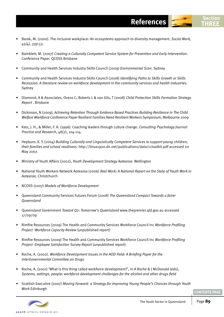- Barak, M. (2000). The inclusive workplace: An ecosystems approach to diversity management. *Social Work, 45(4), 339-53.*
- Bamblett, M. (2007) *Creating a Culturally Competent Service System for Prevention and Early Intervention*. Conference Paper. QCOSS Brisbane
- Community and Health Services Industry Skills Council (2009) *Environmental Scan*. Sydney
- Community and Health Services Industry Skills Council (2008) *Identifying Paths to Skills Growth or Skills Recession: A literature review on workforce development in the community services and health industries.*  Sydney
- Diamond, A & Associates, Ovens C, Roberts L & van Gils, T (2008) *Child Protection Skills Formation Strategy Report* . Brisbane
- Dickinson, N (2009), *Achieving Retention Through Evidence Based Practices Building Resilience in The Child Welfare Workforce* Conference Paper Resilient Families Need Resilient Workers Symposium, Melbourne 2009
- Katz, J. H., & Miller, F. A. (1996). Coaching leaders through culture change. *Consulting Psychology Journal: Practice and Research*, 48(2), 104-114.
- Hepburn, K. S (2004) *Building Culturally and Linguistically Competent Services to support young children, their families and school readiness*. http://linux1900.dn.net/publications/data/cctoolkit.pdf accessed 20 May 2007.
- Ministry of Youth Affairs (2002), *Youth Development Strategy Aotearoa*. Wellington
- National Youth Workers Network Aotearoa (2006) *Real Work: A National Report on the State of Youth Work in Aotearoa*. Christchurch
- NCOSS (2007) *Models of Workforce Development*
- Queensland Community Services Futures Forum (2008) *The Queensland Compact Towards a fairer Queensland*
- Queensland Government *Toward Q2: Tomorrow's Queensland* www.thepremier.qld.gov.au accessed 17/09/09
- Rimfire Resources (2009) The Health and Community Services Workforce Council Inc *Workforce Profiling Project- Workforce Capacity Review* (unpublished report)
- Rimfire Resources (2009) The Health and Community Services Workforce Council Inc *Workforce Profiling Project- Employee Satisfaction Survey Report* (unpublished report)
- Roche, A. (2002). *Workforce Development Issues in the AOD Field: A Briefing Paper for the InterGovernmental Committee on Drugs*
- Roche, A. (2001) 'What is this thing called workforce development?', in A Roche & J McDonald (eds), *Systems, settings, people: workforce development challenges for the alcohol and other drugs field*
- Scottish Executive (2007) *Moving Forward- a Strategy for Improving Young People's Chances through Youth Work* Edinburgh



**References THREE**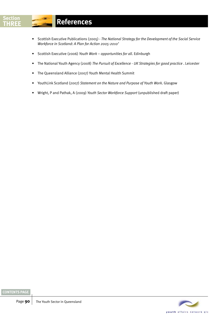- Scottish Executive Publications (2005) *The National Strategy for the Development of the Social Service Workforce in Scotland: A Plan for Action 2005-2010'*
- Scottish Executive (2006) *Youth Work opportunities for all*. Edinburgh
- The National Youth Agency (2008) *The Pursuit of Excellence UK Strategies for good practice* . Leicester
- The Queensland Alliance (2007) Youth Mental Health Summit
- YouthLink Scotland (2007) *Statement on the Nature and Purpose of Youth Work*. Glasgow
- Wright, P and Pathak, A (2009) *Youth Sector Workforce Support* (unpublished draft paper)